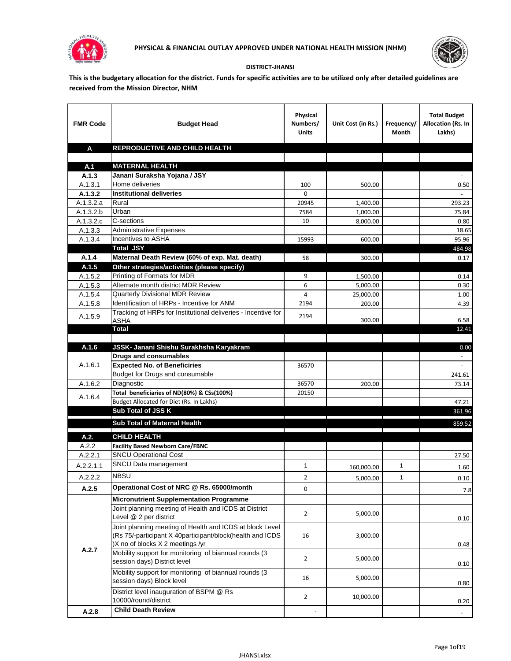



## **DISTRICT-JHANSI**

**This is the budgetary allocation for the district. Funds for specific activities are to be utilized only after detailed guidelines are received from the Mission Director, NHM**

| <b>FMR Code</b>  | <b>Budget Head</b>                                                                                                                                        | Physical<br>Numbers/<br><b>Units</b> | Unit Cost (in Rs.) | Frequency/<br>Month | <b>Total Budget</b><br>Allocation (Rs. In<br>Lakhs) |
|------------------|-----------------------------------------------------------------------------------------------------------------------------------------------------------|--------------------------------------|--------------------|---------------------|-----------------------------------------------------|
| A                | REPRODUCTIVE AND CHILD HEALTH                                                                                                                             |                                      |                    |                     |                                                     |
|                  |                                                                                                                                                           |                                      |                    |                     |                                                     |
| A.1              | <b>MATERNAL HEALTH</b>                                                                                                                                    |                                      |                    |                     |                                                     |
| A.1.3<br>A.1.3.1 | Janani Suraksha Yojana / JSY<br>Home deliveries                                                                                                           |                                      |                    |                     | 0.50                                                |
| A.1.3.2          | <b>Institutional deliveries</b>                                                                                                                           | 100<br>0                             | 500.00             |                     |                                                     |
| A.1.3.2.a        | Rural                                                                                                                                                     | 20945                                | 1,400.00           |                     | 293.23                                              |
| A.1.3.2.b        | Urban                                                                                                                                                     | 7584                                 | 1,000.00           |                     | 75.84                                               |
| A.1.3.2.c        | C-sections                                                                                                                                                | 10                                   | 8,000.00           |                     | 0.80                                                |
| A.1.3.3          | <b>Administrative Expenses</b>                                                                                                                            |                                      |                    |                     | 18.65                                               |
| A.1.3.4          | Incentives to ASHA                                                                                                                                        | 15993                                | 600.00             |                     | 95.96                                               |
|                  | <b>Total JSY</b>                                                                                                                                          |                                      |                    |                     | 484.98                                              |
| A.1.4            | Maternal Death Review (60% of exp. Mat. death)                                                                                                            | 58                                   | 300.00             |                     | 0.17                                                |
| A.1.5            | Other strategies/activities (please specify)                                                                                                              |                                      |                    |                     |                                                     |
| A.1.5.2          | Printing of Formats for MDR                                                                                                                               | 9                                    | 1.500.00           |                     | 0.14                                                |
| A.1.5.3          | Alternate month district MDR Review                                                                                                                       | 6                                    | 5,000.00           |                     | 0.30                                                |
| A.1.5.4          | <b>Quarterly Divisional MDR Review</b>                                                                                                                    | 4                                    | 25,000.00          |                     | 1.00                                                |
| A.1.5.8          | Identification of HRPs - Incentive for ANM                                                                                                                | 2194                                 | 200.00             |                     | 4.39                                                |
| A.1.5.9          | Tracking of HRPs for Institutional deliveries - Incentive for<br><b>ASHA</b>                                                                              | 2194                                 | 300.00             |                     | 6.58                                                |
|                  | <b>Total</b>                                                                                                                                              |                                      |                    |                     | 12.41                                               |
|                  |                                                                                                                                                           |                                      |                    |                     |                                                     |
| A.1.6            | JSSK- Janani Shishu Surakhsha Karyakram                                                                                                                   |                                      |                    |                     | 0.00                                                |
|                  | <b>Drugs and consumables</b>                                                                                                                              |                                      |                    |                     |                                                     |
| A.1.6.1          | <b>Expected No. of Beneficiries</b>                                                                                                                       | 36570                                |                    |                     | $\blacksquare$                                      |
|                  | Budget for Drugs and consumable                                                                                                                           |                                      |                    |                     | 241.61                                              |
| A.1.6.2          | Diagnostic                                                                                                                                                | 36570                                | 200.00             |                     | 73.14                                               |
| A.1.6.4          | Total beneficiaries of ND(80%) & CSs(100%)<br>Budget Allocated for Diet (Rs. In Lakhs)                                                                    | 20150                                |                    |                     | 47.21                                               |
|                  | Sub Total of JSS K                                                                                                                                        |                                      |                    |                     | 361.96                                              |
|                  |                                                                                                                                                           |                                      |                    |                     |                                                     |
|                  | Sub Total of Maternal Health                                                                                                                              |                                      |                    |                     | 859.52                                              |
| A.2.             | <b>CHILD HEALTH</b>                                                                                                                                       |                                      |                    |                     |                                                     |
| A.2.2            | <b>Facility Based Newborn Care/FBNC</b>                                                                                                                   |                                      |                    |                     |                                                     |
| A.2.2.1          | <b>SNCU Operational Cost</b>                                                                                                                              |                                      |                    |                     | 27.50                                               |
| A.2.2.1.1        | SNCU Data management                                                                                                                                      | $\mathbf{1}$                         | 160,000.00         | 1                   | 1.60                                                |
| A.2.2.2          | <b>NBSU</b>                                                                                                                                               | $\overline{2}$                       | 5,000.00           | 1                   | 0.10                                                |
| A.2.5            | Operational Cost of NRC @ Rs. 65000/month                                                                                                                 | 0                                    |                    |                     | 7.8                                                 |
|                  | <b>Micronutrient Supplementation Programme</b>                                                                                                            |                                      |                    |                     |                                                     |
|                  | Joint planning meeting of Health and ICDS at District<br>Level @ 2 per district                                                                           | $\overline{2}$                       | 5,000.00           |                     |                                                     |
|                  | Joint planning meeting of Health and ICDS at block Level<br>(Rs 75/-participant X 40participant/block(health and ICDS<br>)X no of blocks X 2 meetings /yr | 16                                   | 3,000.00           |                     | 0.10<br>0.48                                        |
| A.2.7            | Mobility support for monitoring of biannual rounds (3<br>session days) District level                                                                     | $\overline{2}$                       | 5,000.00           |                     | 0.10                                                |
|                  | Mobility support for monitoring of biannual rounds (3)<br>session days) Block level                                                                       | 16                                   | 5,000.00           |                     | 0.80                                                |
|                  | District level inauguration of BSPM @ Rs<br>10000/round/district                                                                                          | $\overline{2}$                       | 10,000.00          |                     | 0.20                                                |
| A.2.8            | <b>Child Death Review</b>                                                                                                                                 |                                      |                    |                     | $\overline{\phantom{a}}$                            |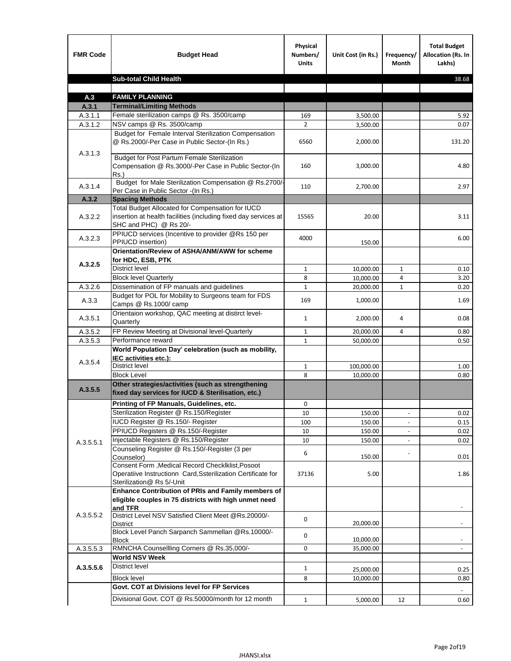| <b>FMR Code</b>    | <b>Budget Head</b>                                                                                                                             | Physical<br>Numbers/<br><b>Units</b> | Unit Cost (in Rs.)   | Frequency/<br>Month      | <b>Total Budget</b><br><b>Allocation (Rs. In</b><br>Lakhs) |
|--------------------|------------------------------------------------------------------------------------------------------------------------------------------------|--------------------------------------|----------------------|--------------------------|------------------------------------------------------------|
|                    | <b>Sub-total Child Health</b>                                                                                                                  |                                      |                      |                          | 38.68                                                      |
|                    |                                                                                                                                                |                                      |                      |                          |                                                            |
| A.3                | <b>FAMILY PLANNING</b>                                                                                                                         |                                      |                      |                          |                                                            |
| A.3.1              | <b>Terminal/Limiting Methods</b><br>Female sterilization camps @ Rs. 3500/camp                                                                 | 169                                  |                      |                          | 5.92                                                       |
| A.3.1.1<br>A.3.1.2 | NSV camps @ Rs. 3500/camp                                                                                                                      | $\overline{2}$                       | 3,500.00<br>3,500.00 |                          | 0.07                                                       |
|                    | Budget for Female Interval Sterilization Compensation<br>@ Rs.2000/-Per Case in Public Sector-(In Rs.)                                         | 6560                                 | 2,000.00             |                          | 131.20                                                     |
| A.3.1.3            | <b>Budget for Post Partum Female Sterilization</b><br>Compensation @ Rs.3000/-Per Case in Public Sector-(In<br>$Rs.$ )                         | 160                                  | 3,000.00             |                          | 4.80                                                       |
| A.3.1.4            | Budget for Male Sterilization Compensation @ Rs.2700/-<br>Per Case in Public Sector -(In Rs.)                                                  | 110                                  | 2,700.00             |                          | 2.97                                                       |
| A.3.2              | <b>Spacing Methods</b>                                                                                                                         |                                      |                      |                          |                                                            |
| A.3.2.2            | Total Budget Allocated for Compensation for IUCD<br>insertion at health facilities (including fixed day services at<br>SHC and PHC) @ Rs 20/-  | 15565                                | 20.00                |                          | 3.11                                                       |
| A.3.2.3            | PPIUCD services (Incentive to provider @Rs 150 per<br>PPIUCD insertion)                                                                        | 4000                                 | 150.00               |                          | 6.00                                                       |
| A.3.2.5            | Orientation/Review of ASHA/ANM/AWW for scheme<br>for HDC, ESB, PTK                                                                             |                                      |                      |                          |                                                            |
|                    | <b>District level</b>                                                                                                                          | $\mathbf{1}$                         | 10,000.00            | $\mathbf{1}$             | 0.10                                                       |
|                    | <b>Block level Quarterly</b>                                                                                                                   | 8                                    | 10,000.00            | 4                        | 3.20                                                       |
| A.3.2.6            | Dissemination of FP manuals and guidelines                                                                                                     | $\mathbf{1}$                         | 20,000.00            | $\mathbf{1}$             | 0.20                                                       |
| A.3.3              | Budget for POL for Mobility to Surgeons team for FDS<br>Camps @ Rs.1000/camp                                                                   | 169                                  | 1,000.00             |                          | 1.69                                                       |
| A.3.5.1            | Orientaion workshop, QAC meeting at distirct level-<br>Quarterly                                                                               | $\mathbf{1}$                         | 2,000.00             | 4                        | 0.08                                                       |
| A.3.5.2            | FP Review Meeting at Divisional level-Quarterly                                                                                                | 1                                    | 20,000.00            | 4                        | 0.80                                                       |
| A.3.5.3            | Performance reward                                                                                                                             | $\mathbf{1}$                         | 50,000.00            |                          | 0.50                                                       |
| A.3.5.4            | World Population Day' celebration (such as mobility,<br>IEC activities etc.):                                                                  |                                      |                      |                          |                                                            |
|                    | District level                                                                                                                                 | 1                                    | 100,000.00           |                          | 1.00                                                       |
|                    | <b>Block Level</b>                                                                                                                             | 8                                    | 10.000.00            |                          | 0.80                                                       |
| A.3.5.5            | Other strategies/activities (such as strengthening<br>fixed day services for IUCD & Sterilisation, etc.)                                       |                                      |                      |                          |                                                            |
|                    | Printing of FP Manuals, Guidelines, etc.                                                                                                       | 0                                    |                      |                          |                                                            |
|                    | Sterilization Register @ Rs.150/Register                                                                                                       | 10                                   | 150.00               | $\overline{\phantom{a}}$ | 0.02                                                       |
|                    | IUCD Register @ Rs.150/- Register                                                                                                              | 100                                  | 150.00               |                          | 0.15                                                       |
|                    | PPIUCD Registers @ Rs.150/-Register                                                                                                            | 10                                   | 150.00               |                          | 0.02                                                       |
| A.3.5.5.1          | Injectable Registers @ Rs.150/Register                                                                                                         | 10                                   | 150.00               |                          | 0.02                                                       |
|                    | Counseling Register @ Rs.150/-Register (3 per<br>Counselor)                                                                                    | 6                                    | 150.00               |                          | 0.01                                                       |
|                    | Consent Form , Medical Record CheckIklist, Posoot<br>Operatiive Instructionn Card, Ssterilization Certificate for<br>Sterilization@ Rs 5/-Unit | 37136                                | 5.00                 |                          | 1.86                                                       |
|                    | Enhance Contribution of PRIs and Family members of<br>eligible couples in 75 districts with high unmet need<br>and TFR                         |                                      |                      |                          |                                                            |
| A.3.5.5.2          | District Level NSV Satisfied Client Meet @Rs.20000/-<br>District                                                                               | 0                                    | 20,000.00            |                          |                                                            |
|                    | Block Level Panch Sarpanch Sammellan @Rs.10000/-<br>Block                                                                                      | 0                                    | 10,000.00            |                          |                                                            |
| A.3.5.5.3          | RMNCHA Counsellling Corners @ Rs.35,000/-                                                                                                      | 0                                    | 35,000.00            |                          | $\overline{\phantom{a}}$                                   |
|                    | <b>World NSV Week</b>                                                                                                                          |                                      |                      |                          |                                                            |
| A.3.5.5.6          | <b>District level</b>                                                                                                                          | $\mathbf{1}$                         | 25,000.00            |                          | 0.25                                                       |
|                    | <b>Block level</b>                                                                                                                             | 8                                    | 10,000.00            |                          | 0.80                                                       |
|                    | Govt. COT at Divisions level for FP Services                                                                                                   |                                      |                      |                          |                                                            |
|                    | Divisional Govt. COT @ Rs.50000/month for 12 month                                                                                             | $\mathbf{1}$                         | 5,000.00             | 12                       | 0.60                                                       |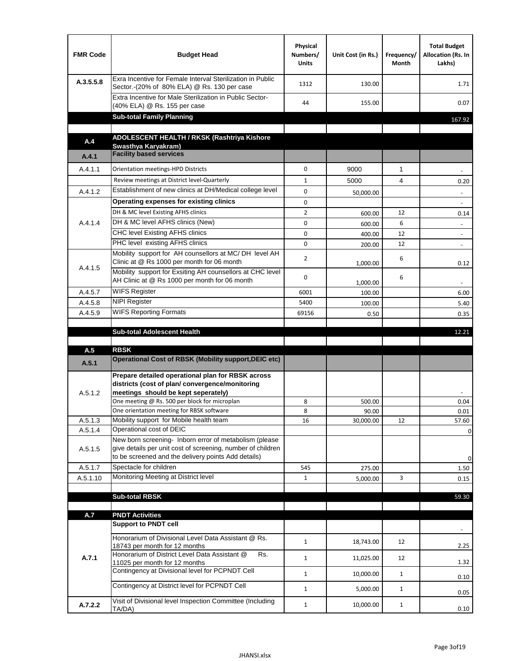| <b>FMR Code</b> | <b>Budget Head</b>                                                                                                                                                                          | Physical<br>Numbers/<br><b>Units</b> | Unit Cost (in Rs.) | Frequency/<br>Month | <b>Total Budget</b><br>Allocation (Rs. In<br>Lakhs) |
|-----------------|---------------------------------------------------------------------------------------------------------------------------------------------------------------------------------------------|--------------------------------------|--------------------|---------------------|-----------------------------------------------------|
| A.3.5.5.8       | Exra Incentive for Female Interval Sterilization in Public<br>Sector.-(20% of 80% ELA) @ Rs. 130 per case                                                                                   | 1312                                 | 130.00             |                     | 1.71                                                |
|                 | Extra Incentive for Male Sterilization in Public Sector-<br>(40% ELA) @ Rs. 155 per case                                                                                                    | 44                                   | 155.00             |                     | 0.07                                                |
|                 | <b>Sub-total Family Planning</b>                                                                                                                                                            |                                      |                    |                     | 167.92                                              |
|                 | ADOLESCENT HEALTH / RKSK (Rashtriya Kishore                                                                                                                                                 |                                      |                    |                     |                                                     |
| A.4             | Swasthya Karyakram)                                                                                                                                                                         |                                      |                    |                     |                                                     |
| A.4.1           | <b>Facility based services</b>                                                                                                                                                              |                                      |                    |                     |                                                     |
| A.4.1.1         | Orientation meetings-HPD Districts                                                                                                                                                          | $\Omega$                             | 9000               | $\mathbf{1}$        |                                                     |
|                 | Review meetings at District level-Quarterly                                                                                                                                                 | $\mathbf{1}$                         | 5000               | 4                   | 0.20                                                |
| A.4.1.2         | Establishment of new clinics at DH/Medical college level                                                                                                                                    | $\Omega$                             | 50,000.00          |                     |                                                     |
|                 | Operating expenses for existing clinics                                                                                                                                                     | 0                                    |                    |                     |                                                     |
|                 | DH & MC level Existing AFHS clinics                                                                                                                                                         | $\overline{2}$                       | 600.00             | 12                  | 0.14                                                |
| A.4.1.4         | DH & MC level AFHS clinics (New)                                                                                                                                                            | 0                                    | 600.00             | 6                   | $\overline{\phantom{a}}$                            |
|                 | CHC level Existing AFHS clinics                                                                                                                                                             | 0                                    | 400.00             | 12                  | $\overline{\phantom{a}}$                            |
|                 | PHC level existing AFHS clinics                                                                                                                                                             | $\Omega$                             | 200.00             | 12                  | $\sim$                                              |
| A.4.1.5         | Mobility support for AH counsellors at MC/DH level AH<br>Clinic at @ Rs 1000 per month for 06 month                                                                                         | 2                                    | 1,000.00           | 6                   | 0.12                                                |
|                 | Mobility support for Exsiting AH counsellors at CHC level<br>AH Clinic at @ Rs 1000 per month for 06 month                                                                                  | 0                                    | 1,000.00           | 6                   |                                                     |
| A.4.5.7         | <b>WIFS Register</b>                                                                                                                                                                        | 6001                                 | 100.00             |                     | 6.00                                                |
| A.4.5.8         | <b>NIPI Register</b>                                                                                                                                                                        | 5400                                 | 100.00             |                     | 5.40                                                |
| A.4.5.9         | <b>WIFS Reporting Formats</b>                                                                                                                                                               | 69156                                | 0.50               |                     | 0.35                                                |
|                 | <b>Sub-total Adolescent Health</b>                                                                                                                                                          |                                      |                    |                     | 12.21                                               |
| A.5             | <b>RBSK</b>                                                                                                                                                                                 |                                      |                    |                     |                                                     |
| A.5.1           | <b>Operational Cost of RBSK (Mobility support, DEIC etc)</b>                                                                                                                                |                                      |                    |                     |                                                     |
| A.5.1.2         | Prepare detailed operational plan for RBSK across<br>districts (cost of plan/convergence/monitoring<br>meetings should be kept seperately)<br>One meeting @ Rs. 500 per block for microplan | 8                                    | 500.00             |                     | 0.04                                                |
| A.5.1.3         | One orientation meeting for RBSK software<br>Mobility support for Mobile health team                                                                                                        | 8<br>16                              | 90.00<br>30,000.00 | 12                  | 0.01<br>57.60                                       |
| A.5.1.4         | Operational cost of DEIC                                                                                                                                                                    |                                      |                    |                     | 0                                                   |
| A.5.1.5         | New born screening- Inborn error of metabolism (please<br>give details per unit cost of screening, number of children<br>to be screened and the delivery points Add details)                |                                      |                    |                     | 0                                                   |
| A.5.1.7         | Spectacle for children                                                                                                                                                                      | 545                                  | 275.00             |                     | 1.50                                                |
| A.5.1.10        | Monitoring Meeting at District level                                                                                                                                                        | $\mathbf{1}$                         | 5,000.00           | 3                   | 0.15                                                |
|                 |                                                                                                                                                                                             |                                      |                    |                     |                                                     |
|                 | <b>Sub-total RBSK</b>                                                                                                                                                                       |                                      |                    |                     | 59.30                                               |
| A.7             | <b>PNDT Activities</b>                                                                                                                                                                      |                                      |                    |                     |                                                     |
|                 | <b>Support to PNDT cell</b>                                                                                                                                                                 |                                      |                    |                     |                                                     |
|                 | Honorarium of Divisional Level Data Assistant @ Rs.<br>18743 per month for 12 months                                                                                                        | $\mathbf{1}$                         | 18,743.00          | 12                  | 2.25                                                |
| A.7.1           | Honorarium of District Level Data Assistant @<br>Rs.<br>11025 per month for 12 months                                                                                                       | $\mathbf{1}$                         | 11,025.00          | 12                  | 1.32                                                |
|                 | Contingency at Divisional level for PCPNDT Cell                                                                                                                                             | $\mathbf{1}$                         | 10,000.00          | $\mathbf{1}$        | 0.10                                                |
|                 | Contingency at District level for PCPNDT Cell                                                                                                                                               | $\mathbf{1}$                         | 5,000.00           | $\mathbf{1}$        | 0.05                                                |
| A.7.2.2         | Visit of Divisional level Inspection Committee (Including<br>TA/DA)                                                                                                                         | $\mathbf{1}$                         | 10,000.00          | $\mathbf{1}$        | 0.10                                                |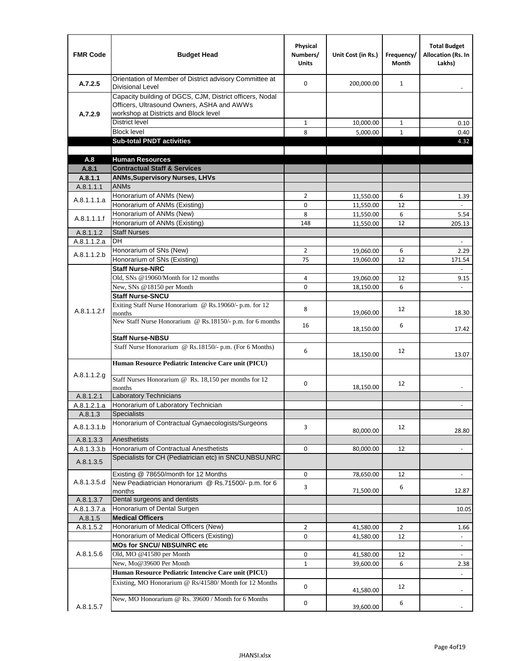| <b>FMR Code</b> | <b>Budget Head</b>                                                                                                                              | Physical<br>Numbers/<br><b>Units</b> | Unit Cost (in Rs.) | Frequency/<br>Month | <b>Total Budget</b><br>Allocation (Rs. In<br>Lakhs) |
|-----------------|-------------------------------------------------------------------------------------------------------------------------------------------------|--------------------------------------|--------------------|---------------------|-----------------------------------------------------|
| A.7.2.5         | Orientation of Member of District advisory Committee at<br><b>Divisional Level</b>                                                              | $\Omega$                             | 200,000.00         | $\mathbf{1}$        | $\overline{\phantom{a}}$                            |
| A.7.2.9         | Capacity building of DGCS, CJM, District officers, Nodal<br>Officers, Ultrasound Owners, ASHA and AWWs<br>workshop at Districts and Block level |                                      |                    |                     |                                                     |
|                 | <b>District level</b>                                                                                                                           | $\mathbf{1}$                         | 10,000.00          | $\mathbf{1}$        | 0.10                                                |
|                 | <b>Block level</b>                                                                                                                              | 8                                    | 5,000.00           | $\mathbf{1}$        | 0.40                                                |
|                 | <b>Sub-total PNDT activities</b>                                                                                                                |                                      |                    |                     | 4.32                                                |
|                 |                                                                                                                                                 |                                      |                    |                     |                                                     |
| A.8             | <b>Human Resources</b>                                                                                                                          |                                      |                    |                     |                                                     |
| A.8.1           | <b>Contractual Staff &amp; Services</b>                                                                                                         |                                      |                    |                     |                                                     |
| A.8.1.1         | <b>ANMs, Supervisory Nurses, LHVs</b>                                                                                                           |                                      |                    |                     |                                                     |
| A.8.1.1.1       | <b>ANMs</b>                                                                                                                                     |                                      |                    |                     |                                                     |
| A.8.1.1.1.a     | Honorarium of ANMs (New)                                                                                                                        | $\overline{2}$                       | 11,550.00          | 6                   | 1.39                                                |
|                 | Honorarium of ANMs (Existing)                                                                                                                   | 0                                    | 11,550.00          | 12                  |                                                     |
| A.8.1.1.1.f     | Honorarium of ANMs (New)                                                                                                                        | 8                                    | 11,550.00          | 6                   | 5.54                                                |
|                 | Honorarium of ANMs (Existing)<br><b>Staff Nurses</b>                                                                                            | 148                                  | 11,550.00          | 12                  | 205.13                                              |
| A.8.1.1.2       | <b>DH</b>                                                                                                                                       |                                      |                    |                     |                                                     |
| A.8.1.1.2.a     | Honorarium of SNs (New)                                                                                                                         |                                      |                    | 6                   | $\blacksquare$                                      |
| A.8.1.1.2.b     | Honorarium of SNs (Existing)                                                                                                                    | $\overline{2}$<br>75                 | 19,060.00          | 12                  | 2.29                                                |
|                 | <b>Staff Nurse-NRC</b>                                                                                                                          |                                      | 19,060.00          |                     | 171.54<br>$\overline{\phantom{a}}$                  |
|                 | Old, SNs @19060/Month for 12 months                                                                                                             | 4                                    | 19,060.00          | 12                  | 9.15                                                |
|                 | New, SNs @18150 per Month                                                                                                                       | 0                                    | 18,150.00          | 6                   |                                                     |
|                 | <b>Staff Nurse-SNCU</b>                                                                                                                         |                                      |                    |                     |                                                     |
| A.8.1.1.2.f     | Exiting Staff Nurse Honorarium @ Rs.19060/- p.m. for 12<br>months                                                                               | 8                                    | 19,060.00          | 12                  | 18.30                                               |
|                 | New Staff Nurse Honorarium @ Rs.18150/- p.m. for 6 months                                                                                       | 16                                   | 18,150.00          | 6                   | 17.42                                               |
|                 | <b>Staff Nurse-NBSU</b>                                                                                                                         |                                      |                    |                     |                                                     |
|                 | Staff Nurse Honorarium @ Rs.18150/- p.m. (For 6 Months)                                                                                         | 6                                    | 18,150.00          | 12                  | 13.07                                               |
| A.8.1.1.2.g     | Human Resource Pediatric Intencive Care unit (PICU)                                                                                             |                                      |                    |                     |                                                     |
|                 | Staff Nurses Honorarium @ Rs. 18,150 per months for 12<br>months                                                                                | 0                                    | 18,150.00          | 12                  |                                                     |
| A.8.1.2.1       | <b>Laboratory Technicians</b>                                                                                                                   |                                      |                    |                     |                                                     |
| A.8.1.2.1.a     | Honorarium of Laboratory Technician                                                                                                             |                                      |                    |                     |                                                     |
| A.8.1.3         | <b>Specialists</b>                                                                                                                              |                                      |                    |                     |                                                     |
| A.8.1.3.1.b     | Honorarium of Contractual Gynaecologists/Surgeons                                                                                               | 3                                    | 80,000.00          | 12                  | 28.80                                               |
| A.8.1.3.3       | Anesthetists                                                                                                                                    |                                      |                    |                     |                                                     |
| A.8.1.3.3.b     | Honorarium of Contractual Anesthetists                                                                                                          | 0                                    | 80,000.00          | 12                  | $\overline{\phantom{a}}$                            |
| A.8.1.3.5       | Specialists for CH (Pediatrician etc) in SNCU, NBSU, NRC                                                                                        |                                      |                    |                     |                                                     |
|                 | Existing @ 78650/month for 12 Months                                                                                                            | 0                                    | 78,650.00          | 12                  | $\Box$                                              |
| A.8.1.3.5.d     | New Peadiatrician Honorarium @ Rs.71500/- p.m. for 6<br>months                                                                                  | 3                                    | 71,500.00          | 6                   | 12.87                                               |
| A.8.1.3.7       | Dental surgeons and dentists                                                                                                                    |                                      |                    |                     |                                                     |
| A.8.1.3.7.a     | Honorarium of Dental Surgen                                                                                                                     |                                      |                    |                     | 10.05                                               |
| A.8.1.5         | <b>Medical Officers</b>                                                                                                                         |                                      |                    |                     |                                                     |
| A.8.1.5.2       | Honorarium of Medical Officers (New)                                                                                                            | $\overline{2}$                       | 41,580.00          | $\overline{2}$      | 1.66                                                |
|                 | Honorarium of Medical Officers (Existing)                                                                                                       | 0                                    | 41,580.00          | 12                  |                                                     |
|                 | MOs for SNCU/ NBSU/NRC etc                                                                                                                      |                                      |                    |                     |                                                     |
| A.8.1.5.6       | Old, MO @41580 per Month<br>New, Mo@39600 Per Month                                                                                             | 0                                    | 41,580.00          | 12                  |                                                     |
|                 | Human Resource Pediatric Intencive Care unit (PICU)                                                                                             | $\mathbf{1}$                         | 39,600.00          | 6                   | 2.38                                                |
|                 | Existing, MO Honorarium @ Rs/41580/ Month for 12 Months                                                                                         | $\mathbf 0$                          |                    | 12                  |                                                     |
|                 | New, MO Honorarium @ Rs. 39600 / Month for 6 Months                                                                                             | 0                                    | 41,580.00          | 6                   |                                                     |
| A.8.1.5.7       |                                                                                                                                                 |                                      | 39,600.00          |                     |                                                     |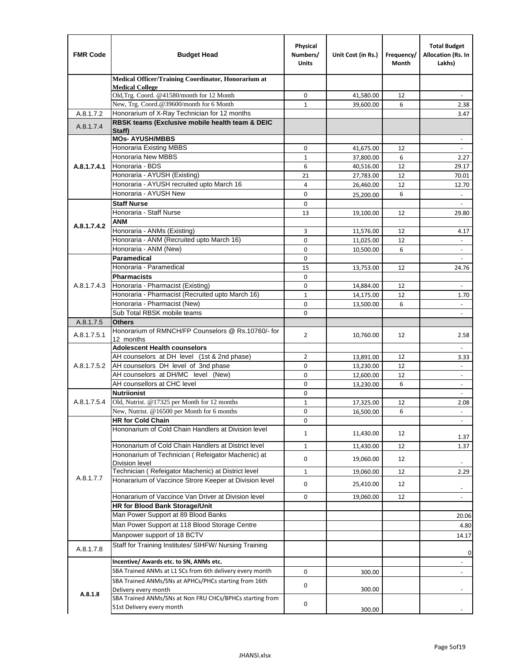| <b>FMR Code</b> | <b>Budget Head</b>                                                                    | Physical<br>Numbers/<br><b>Units</b> | Unit Cost (in Rs.)     | Frequency/<br>Month | <b>Total Budget</b><br>Allocation (Rs. In<br>Lakhs) |
|-----------------|---------------------------------------------------------------------------------------|--------------------------------------|------------------------|---------------------|-----------------------------------------------------|
|                 | Medical Officer/Training Coordinator, Honorarium at                                   |                                      |                        |                     |                                                     |
|                 | <b>Medical College</b><br>Old, Trg. Coord. @41580/month for 12 Month                  | 0                                    | 41,580.00              | 12                  |                                                     |
|                 | New, Trg. Coord.@39600/month for 6 Month                                              | $\mathbf{1}$                         | 39,600.00              | 6                   | 2.38                                                |
| A.8.1.7.2       | Honorarium of X-Ray Technician for 12 months                                          |                                      |                        |                     | 3.47                                                |
| A.8.1.7.4       | RBSK teams (Exclusive mobile health team & DEIC<br>Staff)                             |                                      |                        |                     |                                                     |
|                 | <b>MOs- AYUSH/MBBS</b>                                                                |                                      |                        |                     |                                                     |
|                 | Honoraria Existing MBBS                                                               | $\mathbf 0$                          | 41,675.00              | 12                  | $\omega$                                            |
|                 | <b>Honoraria New MBBS</b>                                                             | $\mathbf{1}$                         | 37,800.00              | 6                   | 2.27                                                |
| A.8.1.7.4.1     | Honoraria - BDS                                                                       | 6                                    | 40,516.00              | 12                  | 29.17                                               |
|                 | Honoraria - AYUSH (Existing)                                                          | 21                                   | 27,783.00              | 12                  | 70.01                                               |
|                 | Honoraria - AYUSH recruited upto March 16                                             | 4                                    | 26,460.00              | 12                  | 12.70                                               |
|                 | Honoraria - AYUSH New                                                                 | $\mathbf 0$                          | 25,200.00              | 6                   | $\overline{\phantom{a}}$                            |
|                 | <b>Staff Nurse</b>                                                                    | $\Omega$                             |                        |                     |                                                     |
|                 | Honoraria - Staff Nurse                                                               | 13                                   | 19,100.00              | 12                  | 29.80                                               |
| A.8.1.7.4.2     | <b>ANM</b>                                                                            |                                      |                        |                     |                                                     |
|                 | Honoraria - ANMs (Existing)                                                           | 3                                    | 11,576.00              | 12                  | 4.17                                                |
|                 | Honoraria - ANM (Recruited upto March 16)                                             | 0                                    | 11,025.00              | 12                  | ÷                                                   |
|                 | Honoraria - ANM (New)<br>Paramedical                                                  | $\mathbf 0$<br>$\mathbf 0$           | 10,500.00              | 6                   | $\blacksquare$                                      |
|                 | Honoraria - Paramedical                                                               | 15                                   | 13,753.00              | 12                  | 24.76                                               |
|                 | <b>Pharmacists</b>                                                                    | $\mathbf 0$                          |                        |                     |                                                     |
| A.8.1.7.4.3     | Honoraria - Pharmacist (Existing)                                                     | $\mathbf 0$                          | 14,884.00              | 12                  | $\blacksquare$                                      |
|                 | Honoraria - Pharmacist (Recruited upto March 16)                                      | $\mathbf{1}$                         | 14,175.00              | 12                  | 1.70                                                |
|                 | Honoraria - Pharmacist (New)                                                          | $\Omega$                             | 13,500.00              | 6                   |                                                     |
|                 | Sub Total RBSK mobile teams                                                           | $\Omega$                             |                        |                     | $\overline{\phantom{a}}$                            |
| A.8.1.7.5       | <b>Others</b>                                                                         |                                      |                        |                     |                                                     |
| A.8.1.7.5.1     | Honorarium of RMNCH/FP Counselors @ Rs.10760/- for                                    | $\overline{2}$                       | 10,760.00              | 12                  | 2.58                                                |
|                 | 12 months                                                                             |                                      |                        |                     |                                                     |
|                 | <b>Adolescent Health counselors</b>                                                   |                                      |                        |                     | $\blacksquare$                                      |
|                 | AH counselors at DH level (1st & 2nd phase)                                           | 2                                    | 13,891.00              | 12                  | 3.33                                                |
| A.8.1.7.5.2     | AH counselors DH level of 3nd phase<br>AH counselors at DH/MC level (New)             | $\mathbf 0$<br>0                     | 13,230.00              | 12<br>12            | $\blacksquare$                                      |
|                 | AH counsellors at CHC level                                                           | $\mathbf 0$                          | 12,600.00<br>13,230.00 | 6                   | $\overline{\phantom{a}}$<br>$\blacksquare$          |
|                 | <b>Nutriionist</b>                                                                    | $\mathbf 0$                          |                        |                     | $\overline{\phantom{a}}$                            |
| A.8.1.7.5.4     | Old, Nutrist. @17325 per Month for 12 months                                          | $\mathbf{1}$                         | 17,325.00              | 12                  | 2.08                                                |
|                 | New, Nutrist. $@16500$ per Month for 6 months                                         | 0                                    | 16,500.00              | 6                   | $\overline{\phantom{a}}$                            |
|                 | <b>HR for Cold Chain</b>                                                              | 0                                    |                        |                     |                                                     |
|                 | Hononarium of Cold Chain Handlers at Division level                                   | 1                                    | 11,430.00              | 12                  |                                                     |
|                 | Hononarium of Cold Chain Handlers at District level                                   |                                      |                        |                     | 1.37                                                |
|                 | Hononarium of Technician (Refeigator Machenic) at                                     | $\mathbf{1}$                         | 11,430.00              | 12                  | 1.37                                                |
|                 | <b>Division level</b>                                                                 | 0                                    | 19,060.00              | 12                  | ۰                                                   |
|                 | Technician (Refeigator Machenic) at District level                                    | 1                                    | 19,060.00              | 12                  | 2.29                                                |
| A.8.1.7.7       | Honararium of Vaccince Strore Keeper at Division level                                | 0                                    | 25,410.00              | 12                  |                                                     |
|                 | Honararium of Vaccince Van Driver at Division level                                   | 0                                    | 19,060.00              | 12                  | $\overline{\phantom{m}}$                            |
|                 | HR for Blood Bank Storage/Unit                                                        |                                      |                        |                     |                                                     |
|                 | Man Power Support at 89 Blood Banks                                                   |                                      |                        |                     | 20.06                                               |
|                 | Man Power Support at 118 Blood Storage Centre                                         |                                      |                        |                     | 4.80                                                |
|                 | Manpower support of 18 BCTV                                                           |                                      |                        |                     | 14.17                                               |
| A.8.1.7.8       | Staff for Training Institutes/ SIHFW/ Nursing Training                                |                                      |                        |                     |                                                     |
|                 | Incentive/ Awards etc. to SN, ANMs etc.                                               |                                      |                        |                     | 0                                                   |
|                 | SBA Trained ANMs at L1 SCs from 6th delivery every month                              | 0                                    |                        |                     | $\overline{\phantom{m}}$                            |
|                 |                                                                                       |                                      | 300.00                 |                     | $\frac{1}{2}$                                       |
|                 | SBA Trained ANMs/SNs at APHCs/PHCs starting from 16th<br>Delivery every month         | 0                                    | 300.00                 |                     |                                                     |
| A.8.1.8         | SBA Trained ANMs/SNs at Non FRU CHCs/BPHCs starting from<br>51st Delivery every month | 0                                    | 300.00                 |                     |                                                     |
|                 |                                                                                       |                                      |                        |                     |                                                     |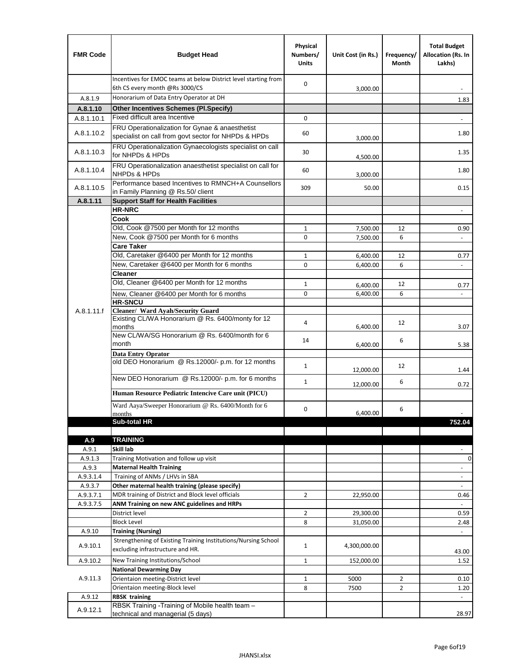| <b>FMR Code</b>  | <b>Budget Head</b>                                                                                      | Physical<br>Numbers/<br><b>Units</b> | Unit Cost (in Rs.)   | Frequency/<br>Month | <b>Total Budget</b><br>Allocation (Rs. In<br>Lakhs) |
|------------------|---------------------------------------------------------------------------------------------------------|--------------------------------------|----------------------|---------------------|-----------------------------------------------------|
|                  | Incentives for EMOC teams at below District level starting from<br>6th CS every month @Rs 3000/CS       | 0                                    | 3,000.00             |                     |                                                     |
| A.8.1.9          | Honorarium of Data Entry Operator at DH                                                                 |                                      |                      |                     | 1.83                                                |
| A.8.1.10         | <b>Other Incentives Schemes (Pl.Specify)</b>                                                            |                                      |                      |                     |                                                     |
| A.8.1.10.1       | Fixed difficult area Incentive                                                                          | 0                                    |                      |                     |                                                     |
| A.8.1.10.2       | FRU Operationalization for Gynae & anaesthetist<br>specialist on call from govt sector for NHPDs & HPDs | 60                                   | 3,000.00             |                     | 1.80                                                |
| A.8.1.10.3       | FRU Operationalization Gynaecologists specialist on call<br>for NHPDs & HPDs                            | 30                                   | 4,500.00             |                     | 1.35                                                |
| A.8.1.10.4       | FRU Operationalization anaesthetist specialist on call for<br><b>NHPDs &amp; HPDs</b>                   | 60                                   | 3,000.00             |                     | 1.80                                                |
| A.8.1.10.5       | Performance based Incentives to RMNCH+A Counsellors<br>in Family Planning @ Rs.50/ client               | 309                                  | 50.00                |                     | 0.15                                                |
| A.8.1.11         | <b>Support Staff for Health Facilities</b>                                                              |                                      |                      |                     |                                                     |
|                  | <b>HR-NRC</b>                                                                                           |                                      |                      |                     | $\overline{\phantom{a}}$                            |
|                  | Cook                                                                                                    |                                      |                      |                     |                                                     |
|                  | Old, Cook @7500 per Month for 12 months                                                                 | 1                                    | 7,500.00             | 12                  | 0.90                                                |
|                  | New, Cook @7500 per Month for 6 months<br><b>Care Taker</b>                                             | 0                                    | 7,500.00             | 6                   | $\blacksquare$                                      |
|                  | Old, Caretaker @6400 per Month for 12 months                                                            | 1                                    |                      | 12                  | 0.77                                                |
|                  | New, Caretaker @6400 per Month for 6 months                                                             | 0                                    | 6,400.00<br>6,400.00 | 6                   | $\overline{\phantom{a}}$                            |
|                  | <b>Cleaner</b>                                                                                          |                                      |                      |                     |                                                     |
|                  | Old, Cleaner @6400 per Month for 12 months                                                              | 1                                    | 6,400.00             | 12                  | 0.77                                                |
|                  | New, Cleaner @6400 per Month for 6 months                                                               | 0                                    | 6,400.00             | 6                   |                                                     |
|                  | <b>HR-SNCU</b>                                                                                          |                                      |                      |                     |                                                     |
| A.8.1.11.f       | Cleaner/ Ward Ayah/Security Guard                                                                       |                                      |                      |                     |                                                     |
|                  | Existing CL/WA Honorarium @ Rs. 6400/monty for 12<br>months                                             | 4                                    | 6,400.00             | 12                  | 3.07                                                |
|                  | New CL/WA/SG Honorarium @ Rs. 6400/month for 6<br>month                                                 | 14                                   | 6,400.00             | 6                   | 5.38                                                |
|                  | <b>Data Entry Oprator</b>                                                                               |                                      |                      |                     |                                                     |
|                  | old DEO Honorarium @ Rs.12000/- p.m. for 12 months                                                      | $\mathbf{1}$                         | 12,000.00            | 12                  | 1.44                                                |
|                  | New DEO Honorarium @ Rs.12000/- p.m. for 6 months                                                       | $\mathbf{1}$                         | 12,000.00            | 6                   | 0.72                                                |
|                  | Human Resource Pediatric Intencive Care unit (PICU)                                                     |                                      |                      |                     |                                                     |
|                  | Ward Aaya/Sweeper Honorarium @ Rs. 6400/Month for 6                                                     |                                      |                      |                     |                                                     |
|                  | months                                                                                                  | 0                                    | 6,400.00             | 6                   |                                                     |
|                  | Sub-total HR                                                                                            |                                      |                      |                     | 752.04                                              |
|                  |                                                                                                         |                                      |                      |                     |                                                     |
| A.9              | <b>TRAINING</b>                                                                                         |                                      |                      |                     |                                                     |
| A.9.1<br>A.9.1.3 | Skill lab<br>Training Motivation and follow up visit                                                    |                                      |                      |                     | 0                                                   |
| A.9.3            | <b>Maternal Health Training</b>                                                                         |                                      |                      |                     | $\blacksquare$                                      |
| A.9.3.1.4        | Training of ANMs / LHVs in SBA                                                                          |                                      |                      |                     | $\overline{\phantom{a}}$                            |
| A.9.3.7          | Other maternal health training (please specify)                                                         |                                      |                      |                     | $\overline{\phantom{a}}$                            |
| A.9.3.7.1        | MDR training of District and Block level officials                                                      | $\overline{2}$                       | 22,950.00            |                     | 0.46                                                |
| A.9.3.7.5        | ANM Training on new ANC guidelines and HRPs                                                             |                                      |                      |                     |                                                     |
|                  | District level                                                                                          | 2                                    | 29,300.00            |                     | 0.59                                                |
|                  | <b>Block Level</b>                                                                                      | 8                                    | 31,050.00            |                     | 2.48                                                |
| A.9.10           | <b>Training (Nursing)</b>                                                                               |                                      |                      |                     |                                                     |
| A.9.10.1         | Strengthening of Existing Training Institutions/Nursing School<br>excluding infrastructure and HR.      | $\mathbf{1}$                         | 4,300,000.00         |                     | 43.00                                               |
| A.9.10.2         | New Training Institutions/School                                                                        | $\mathbf{1}$                         | 152,000.00           |                     | 1.52                                                |
|                  | <b>National Dewarming Day</b>                                                                           |                                      |                      |                     |                                                     |
| A.9.11.3         | Orientaion meeting-District level                                                                       | 1                                    | 5000                 | $\overline{2}$      | 0.10                                                |
|                  | Orientaion meeting-Block level                                                                          | 8                                    | 7500                 | $\overline{2}$      | 1.20                                                |
| A.9.12           | <b>RBSK training</b>                                                                                    |                                      |                      |                     |                                                     |
| A.9.12.1         | RBSK Training -Training of Mobile health team -<br>technical and managerial (5 days)                    |                                      |                      |                     | 28.97                                               |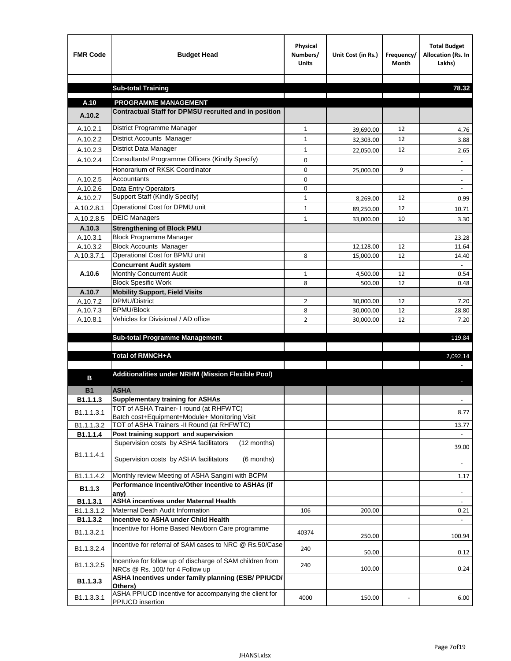| <b>FMR Code</b> | <b>Budget Head</b>                                                                          | Physical<br>Numbers/<br><b>Units</b> | Unit Cost (in Rs.) | Frequency/<br><b>Month</b> | <b>Total Budget</b><br>Allocation (Rs. In<br>Lakhs) |
|-----------------|---------------------------------------------------------------------------------------------|--------------------------------------|--------------------|----------------------------|-----------------------------------------------------|
|                 |                                                                                             |                                      |                    |                            |                                                     |
|                 | <b>Sub-total Training</b>                                                                   |                                      |                    |                            | 78.32                                               |
| A.10            | <b>PROGRAMME MANAGEMENT</b>                                                                 |                                      |                    |                            |                                                     |
| A.10.2          | Contractual Staff for DPMSU recruited and in position                                       |                                      |                    |                            |                                                     |
| A.10.2.1        | District Programme Manager                                                                  | $\mathbf{1}$                         | 39,690.00          | 12                         | 4.76                                                |
| A.10.2.2        | District Accounts Manager                                                                   | 1                                    | 32,303.00          | 12                         | 3.88                                                |
| A.10.2.3        | District Data Manager                                                                       | $\mathbf{1}$                         | 22,050.00          | 12                         | 2.65                                                |
| A.10.2.4        | Consultants/ Programme Officers (Kindly Specify)                                            | $\mathbf 0$                          |                    |                            |                                                     |
|                 | Honorarium of RKSK Coordinator                                                              | 0                                    | 25,000.00          | 9                          | $\overline{\phantom{a}}$                            |
| A.10.2.5        | Accountants                                                                                 | 0                                    |                    |                            |                                                     |
| A.10.2.6        | Data Entry Operators                                                                        | 0                                    |                    |                            | $\overline{\phantom{a}}$                            |
| A.10.2.7        | Support Staff (Kindly Specify)                                                              | $\mathbf{1}$                         | 8,269.00           | 12                         | 0.99                                                |
| A.10.2.8.1      | Operational Cost for DPMU unit                                                              | $\mathbf{1}$                         | 89,250.00          | 12                         | 10.71                                               |
| A.10.2.8.5      | <b>DEIC Managers</b>                                                                        | $\mathbf{1}$                         | 33,000.00          | 10                         | 3.30                                                |
| A.10.3          | <b>Strengthening of Block PMU</b>                                                           |                                      |                    |                            |                                                     |
| A.10.3.1        | <b>Block Programme Manager</b>                                                              |                                      |                    |                            | 23.28                                               |
| A.10.3.2        | <b>Block Accounts Manager</b>                                                               |                                      | 12,128.00          | 12                         | 11.64                                               |
| A.10.3.7.1      | Operational Cost for BPMU unit                                                              | 8                                    | 15,000.00          | 12                         | 14.40                                               |
| A.10.6          | <b>Concurrent Audit system</b><br>Monthly Concurrent Audit                                  | $\mathbf{1}$                         | 4,500.00           | 12                         | 0.54                                                |
|                 | <b>Block Spesific Work</b>                                                                  | 8                                    | 500.00             | 12                         | 0.48                                                |
| A.10.7          | <b>Mobility Support, Field Visits</b>                                                       |                                      |                    |                            |                                                     |
| A.10.7.2        | DPMU/District                                                                               | 2                                    | 30,000.00          | 12                         | 7.20                                                |
| A.10.7.3        | <b>BPMU/Block</b>                                                                           | 8                                    | 30,000.00          | 12                         | 28.80                                               |
| A.10.8.1        | Vehicles for Divisional / AD office                                                         | $\overline{2}$                       | 30,000.00          | 12                         | 7.20                                                |
|                 |                                                                                             |                                      |                    |                            |                                                     |
|                 | <b>Sub-total Programme Management</b>                                                       |                                      |                    |                            | 119.84                                              |
|                 | Total of RMNCH+A                                                                            |                                      |                    |                            | 2,092.14                                            |
|                 |                                                                                             |                                      |                    |                            |                                                     |
| в               | Additionalities under NRHM (Mission Flexible Pool)                                          |                                      |                    |                            |                                                     |
| <b>B1</b>       | <b>ASHA</b>                                                                                 |                                      |                    |                            |                                                     |
| B1.1.1.3        | <b>Supplementary training for ASHAs</b>                                                     |                                      |                    |                            |                                                     |
| B1.1.1.3.1      | TOT of ASHA Trainer- I round (at RHFWTC)                                                    |                                      |                    |                            | 8.77                                                |
| B1.1.1.3.2      | Batch cost+Equipment+Module+ Monitoring Visit<br>TOT of ASHA Trainers -II Round (at RHFWTC) |                                      |                    |                            | 13.77                                               |
| B1.1.1.4        | Post training support and supervision                                                       |                                      |                    |                            | $\omega$ .                                          |
|                 | Supervision costs by ASHA facilitators<br>(12 months)                                       |                                      |                    |                            |                                                     |
| B1.1.1.4.1      |                                                                                             |                                      |                    |                            | 39.00                                               |
|                 | Supervision costs by ASHA facilitators<br>(6 months)                                        |                                      |                    |                            |                                                     |
| B1.1.1.4.2      | Monthly review Meeting of ASHA Sangini with BCPM                                            |                                      |                    |                            | 1.17                                                |
|                 | Performance Incentive/Other Incentive to ASHAs (if                                          |                                      |                    |                            |                                                     |
| B1.1.3          | any)                                                                                        |                                      |                    |                            |                                                     |
| B1.1.3.1        | <b>ASHA incentives under Maternal Health</b>                                                |                                      |                    |                            |                                                     |
| B1.1.3.1.2      | Maternal Death Audit Information                                                            | 106                                  | 200.00             |                            | 0.21                                                |
| B1.1.3.2        | Incentive to ASHA under Child Health<br>Incentive for Home Based Newborn Care programme     |                                      |                    |                            | ÷.                                                  |
| B1.1.3.2.1      |                                                                                             | 40374                                | 250.00             |                            | 100.94                                              |
| B1.1.3.2.4      | Incentive for referral of SAM cases to NRC @ Rs.50/Case                                     | 240                                  | 50.00              |                            | 0.12                                                |
| B1.1.3.2.5      | Incentive for follow up of discharge of SAM children from                                   | 240                                  |                    |                            |                                                     |
|                 | NRCs @ Rs. 100/ for 4 Follow up                                                             |                                      | 100.00             |                            | 0.24                                                |
| B1.1.3.3        | ASHA Incentives under family planning (ESB/ PPIUCD/<br>Others)                              |                                      |                    |                            |                                                     |
| B1.1.3.3.1      | ASHA PPIUCD incentive for accompanying the client for<br>PPIUCD insertion                   | 4000                                 | 150.00             |                            | 6.00                                                |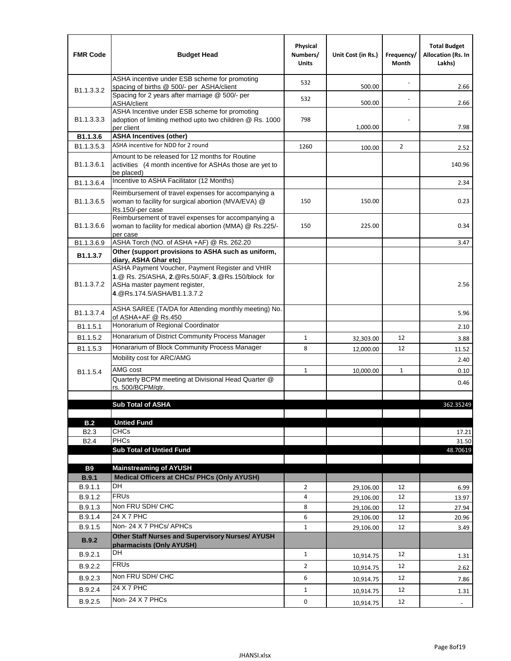| <b>FMR Code</b>            | <b>Budget Head</b>                                                                                                                                                    | Physical<br>Numbers/<br><b>Units</b> | Unit Cost (in Rs.) | Frequency/<br><b>Month</b> | <b>Total Budget</b><br><b>Allocation (Rs. In</b><br>Lakhs) |
|----------------------------|-----------------------------------------------------------------------------------------------------------------------------------------------------------------------|--------------------------------------|--------------------|----------------------------|------------------------------------------------------------|
|                            | ASHA incentive under ESB scheme for promoting<br>spacing of births @ 500/- per ASHA/client                                                                            | 532                                  | 500.00             |                            | 2.66                                                       |
| B <sub>1.1</sub> .3.3.2    | Spacing for 2 years after marriage @ 500/- per<br>ASHA/client                                                                                                         | 532                                  | 500.00             |                            | 2.66                                                       |
| B <sub>1.1</sub> .3.3.3    | ASHA Incentive under ESB scheme for promoting<br>adoption of limiting method upto two children @ Rs. 1000<br>per client                                               | 798                                  | 1,000.00           |                            | 7.98                                                       |
| B1.1.3.6                   | <b>ASHA Incentives (other)</b>                                                                                                                                        |                                      |                    |                            |                                                            |
| B <sub>1.1</sub> , 3, 5, 3 | ASHA incentive for NDD for 2 round                                                                                                                                    | 1260                                 | 100.00             | 2                          | 2.52                                                       |
| B <sub>1.1</sub> .3.6.1    | Amount to be released for 12 months for Routine<br>activities (4 month incentive for ASHAs those are yet to<br>be placed)                                             |                                      |                    |                            | 140.96                                                     |
| B <sub>1.1</sub> .3.6.4    | Incentive to ASHA Facilitator (12 Months)                                                                                                                             |                                      |                    |                            | 2.34                                                       |
| B <sub>1.1</sub> .3.6.5    | Reimbursement of travel expenses for accompanying a<br>woman to facility for surgical abortion (MVA/EVA) @<br>Rs.150/-per case                                        | 150                                  | 150.00             |                            | 0.23                                                       |
| B <sub>1.1</sub> , 3, 6, 6 | Reimbursement of travel expenses for accompanying a<br>woman to facility for medical abortion (MMA) @ Rs.225/-<br>per case                                            | 150                                  | 225.00             |                            | 0.34                                                       |
| B1.1.3.6.9                 | ASHA Torch (NO. of ASHA +AF) @ Rs. 262.20                                                                                                                             |                                      |                    |                            | 3.47                                                       |
| B1.1.3.7                   | Other (support provisions to ASHA such as uniform,<br>diarv. ASHA Ghar etc)                                                                                           |                                      |                    |                            |                                                            |
| B <sub>1.1</sub> .3.7.2    | ASHA Payment Voucher, Payment Register and VHIR<br>1.@ Rs. 25/ASHA, 2.@Rs.50/AF, 3.@Rs.150/block for<br>ASHa master payment register,<br>4. @Rs.174.5/ASHA/B1.1.3.7.2 |                                      |                    |                            | 2.56                                                       |
| B1.1.3.7.4                 | ASHA SAREE (TA/DA for Attending monthly meeting) No.<br>of ASHA+AF @ Rs.450                                                                                           |                                      |                    |                            | 5.96                                                       |
| B <sub>1.1</sub> .5.1      | Honorarium of Regional Coordinator                                                                                                                                    |                                      |                    |                            | 2.10                                                       |
| B1.1.5.2                   | Honararium of District Community Process Manager                                                                                                                      | $\mathbf{1}$                         | 32,303.00          | 12                         | 3.88                                                       |
| B1.1.5.3                   | Honararium of Block Community Process Manager                                                                                                                         | 8                                    | 12,000.00          | 12                         | 11.52                                                      |
|                            | Mobility cost for ARC/AMG                                                                                                                                             |                                      |                    |                            | 2.40                                                       |
| B <sub>1.1.5.4</sub>       | AMG cost                                                                                                                                                              | $\mathbf{1}$                         | 10,000.00          | $\mathbf{1}$               | 0.10                                                       |
|                            | Quarterly BCPM meeting at Divisional Head Quarter @                                                                                                                   |                                      |                    |                            | 0.46                                                       |
|                            | rs. 500/BCPM/qtr.                                                                                                                                                     |                                      |                    |                            |                                                            |
|                            | <b>Sub Total of ASHA</b>                                                                                                                                              |                                      |                    |                            | 362.35249                                                  |
|                            |                                                                                                                                                                       |                                      |                    |                            |                                                            |
| B.2                        | <b>Untied Fund</b>                                                                                                                                                    |                                      |                    |                            |                                                            |
| B <sub>2.3</sub>           | <b>CHCs</b>                                                                                                                                                           |                                      |                    |                            | 17.21                                                      |
| B <sub>2.4</sub>           | <b>PHCs</b>                                                                                                                                                           |                                      |                    |                            | 31.50                                                      |
|                            | <b>Sub Total of Untied Fund</b>                                                                                                                                       |                                      |                    |                            | 48.70619                                                   |
| <b>B9</b>                  | <b>Mainstreaming of AYUSH</b>                                                                                                                                         |                                      |                    |                            |                                                            |
| B.9.1                      | Medical Officers at CHCs/ PHCs (Only AYUSH)                                                                                                                           |                                      |                    |                            |                                                            |
| B.9.1.1                    | DH                                                                                                                                                                    | $\overline{2}$                       | 29,106.00          | 12                         | 6.99                                                       |
| B.9.1.2                    | <b>FRUs</b>                                                                                                                                                           | 4                                    | 29,106.00          | 12                         | 13.97                                                      |
| B.9.1.3                    | Non FRU SDH/ CHC                                                                                                                                                      | 8                                    | 29,106.00          | 12                         | 27.94                                                      |
| B.9.1.4                    | 24 X 7 PHC                                                                                                                                                            | 6                                    | 29,106.00          | 12                         | 20.96                                                      |
| B.9.1.5                    | Non-24 X 7 PHCs/ APHCs                                                                                                                                                | $\mathbf{1}$                         | 29,106.00          | 12                         | 3.49                                                       |
| <b>B.9.2</b>               | Other Staff Nurses and Supervisory Nurses/ AYUSH<br>pharmacists (Only AYUSH)                                                                                          |                                      |                    |                            |                                                            |
| B.9.2.1                    | DH                                                                                                                                                                    | $\mathbf{1}$                         | 10,914.75          | 12                         | 1.31                                                       |
| B.9.2.2                    | <b>FRUs</b>                                                                                                                                                           | $\overline{2}$                       | 10,914.75          | 12                         | 2.62                                                       |
| B.9.2.3                    | Non FRU SDH/ CHC                                                                                                                                                      | 6                                    | 10,914.75          | 12                         | 7.86                                                       |
| B.9.2.4                    | 24 X 7 PHC                                                                                                                                                            | $\mathbf{1}$                         |                    | 12                         |                                                            |
|                            | Non-24 X 7 PHCs                                                                                                                                                       |                                      | 10,914.75          |                            | 1.31                                                       |
| B.9.2.5                    |                                                                                                                                                                       | 0                                    | 10,914.75          | 12                         | $\blacksquare$                                             |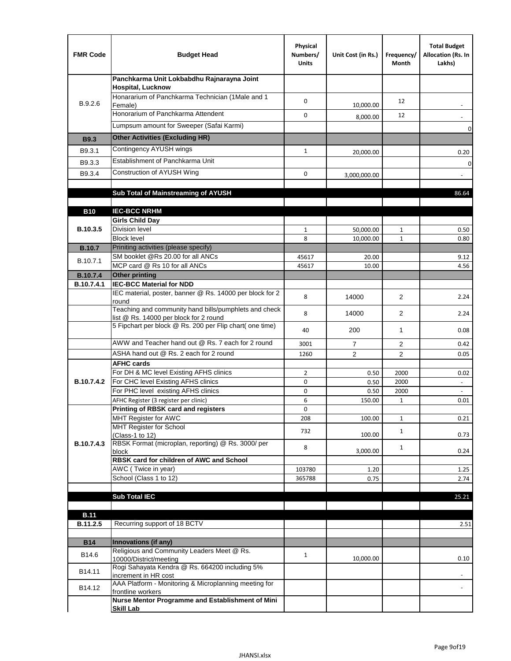| <b>FMR Code</b>               | <b>Budget Head</b>                                                                              | Physical<br>Numbers/<br><b>Units</b> | Unit Cost (in Rs.) | Frequency/<br>Month | <b>Total Budget</b><br>Allocation (Rs. In<br>Lakhs) |
|-------------------------------|-------------------------------------------------------------------------------------------------|--------------------------------------|--------------------|---------------------|-----------------------------------------------------|
|                               | Panchkarma Unit Lokbabdhu Rajnarayna Joint<br><b>Hospital, Lucknow</b>                          |                                      |                    |                     |                                                     |
| B.9.2.6                       | Honararium of Panchkarma Technician (1Male and 1<br>Female)                                     | 0                                    | 10,000.00          | 12                  |                                                     |
|                               | Honorarium of Panchkarma Attendent                                                              | 0                                    | 8,000.00           | 12                  |                                                     |
|                               | Lumpsum amount for Sweeper (Safai Karmi)                                                        |                                      |                    |                     | 0                                                   |
| <b>B9.3</b>                   | <b>Other Activities (Excluding HR)</b>                                                          |                                      |                    |                     |                                                     |
| B9.3.1                        | Contingency AYUSH wings                                                                         | $\mathbf{1}$                         | 20,000.00          |                     | 0.20                                                |
| B9.3.3                        | Establishment of Panchkarma Unit                                                                |                                      |                    |                     | $\mathbf 0$                                         |
| B9.3.4                        | Construction of AYUSH Wing                                                                      | 0                                    | 3,000,000.00       |                     |                                                     |
|                               |                                                                                                 |                                      |                    |                     |                                                     |
|                               | Sub Total of Mainstreaming of AYUSH                                                             |                                      |                    |                     | 86.64                                               |
|                               |                                                                                                 |                                      |                    |                     |                                                     |
| <b>B10</b>                    | <b>IEC-BCC NRHM</b>                                                                             |                                      |                    |                     |                                                     |
| B.10.3.5                      | <b>Girls Child Day</b><br><b>Division level</b>                                                 | $\mathbf{1}$                         | 50,000.00          | 1                   | 0.50                                                |
|                               | <b>Block level</b>                                                                              | 8                                    | 10,000.00          | $\mathbf{1}$        | 0.80                                                |
| <b>B.10.7</b>                 | Priniting activities (please specify)                                                           |                                      |                    |                     |                                                     |
| B.10.7.1                      | SM booklet @Rs 20.00 for all ANCs                                                               | 45617                                | 20.00              |                     | 9.12                                                |
|                               | MCP card @ Rs 10 for all ANCs                                                                   | 45617                                | 10.00              |                     | 4.56                                                |
| <b>B.10.7.4</b><br>B.10.7.4.1 | <b>Other printing</b><br><b>IEC-BCC Material for NDD</b>                                        |                                      |                    |                     |                                                     |
|                               | IEC material, poster, banner @ Rs. 14000 per block for 2<br>round                               | 8                                    | 14000              | $\overline{2}$      | 2.24                                                |
|                               | Teaching and community hand bills/pumphlets and check<br>list @ Rs. 14000 per block for 2 round | 8                                    | 14000              | 2                   | 2.24                                                |
|                               | 5 Fipchart per block @ Rs. 200 per Flip chart( one time)                                        | 40                                   | 200                | 1                   | 0.08                                                |
|                               | AWW and Teacher hand out @ Rs. 7 each for 2 round                                               | 3001                                 | $\overline{7}$     | 2                   | 0.42                                                |
|                               | ASHA hand out @ Rs. 2 each for 2 round                                                          | 1260                                 | $\overline{2}$     | $\overline{2}$      | 0.05                                                |
|                               | <b>AFHC cards</b>                                                                               |                                      |                    |                     |                                                     |
| <b>B.10.7.4.2</b>             | For DH & MC level Existing AFHS clinics<br>For CHC level Existing AFHS clinics                  | $\overline{2}$<br>0                  | 0.50<br>0.50       | 2000<br>2000        | 0.02<br>$\overline{\phantom{a}}$                    |
|                               | For PHC level existing AFHS clinics                                                             | 0                                    | 0.50               | 2000                | $\bar{\phantom{a}}$                                 |
|                               | AFHC Register (3 register per clinic)                                                           | 6                                    | 150.00             | $\mathbf{1}$        | 0.01                                                |
|                               | Printing of RBSK card and registers                                                             | 0                                    |                    |                     |                                                     |
|                               | MHT Register for AWC                                                                            | 208                                  | 100.00             | $\mathbf{1}$        | 0.21                                                |
|                               | MHT Register for School<br>(Class-1 to 12)                                                      | 732                                  | 100.00             | $\mathbf{1}$        | 0.73                                                |
| B.10.7.4.3                    | RBSK Format (microplan, reporting) @ Rs. 3000/ per<br>block                                     | 8                                    | 3,000.00           | $\mathbf{1}$        | 0.24                                                |
|                               | RBSK card for children of AWC and School                                                        |                                      |                    |                     |                                                     |
|                               | AWC (Twice in year)                                                                             | 103780                               | 1.20               |                     | 1.25                                                |
|                               | School (Class 1 to 12)                                                                          | 365788                               | 0.75               |                     | 2.74                                                |
|                               | <b>Sub Total IEC</b>                                                                            |                                      |                    |                     | 25.21                                               |
|                               |                                                                                                 |                                      |                    |                     |                                                     |
| <b>B.11</b>                   |                                                                                                 |                                      |                    |                     |                                                     |
| B.11.2.5                      | Recurring support of 18 BCTV                                                                    |                                      |                    |                     | 2.51                                                |
|                               |                                                                                                 |                                      |                    |                     |                                                     |
| <b>B14</b>                    | Innovations (if any)<br>Religious and Community Leaders Meet @ Rs.                              |                                      |                    |                     |                                                     |
| B14.6                         | 10000/District/meeting<br>Rogi Sahayata Kendra @ Rs. 664200 including 5%                        | $\mathbf{1}$                         | 10,000.00          |                     | 0.10                                                |
| B14.11                        | increment in HR cost                                                                            |                                      |                    |                     |                                                     |
| B14.12                        | AAA Platform - Monitoring & Microplanning meeting for<br>frontline workers                      |                                      |                    |                     |                                                     |
|                               | Nurse Mentor Programme and Establishment of Mini                                                |                                      |                    |                     |                                                     |
|                               | <b>Skill Lab</b>                                                                                |                                      |                    |                     |                                                     |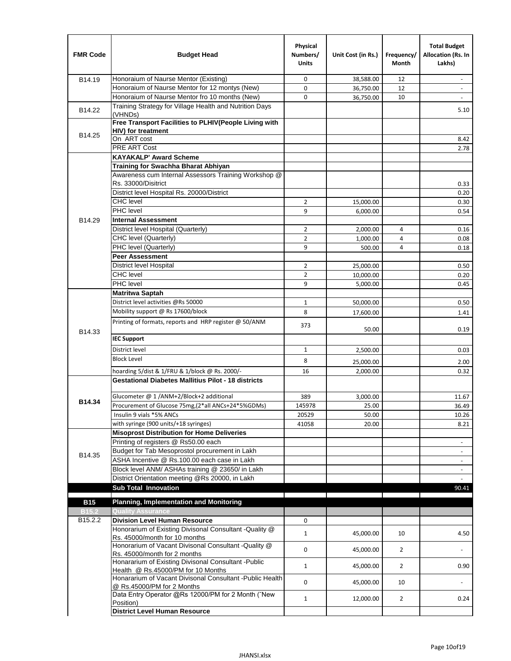| <b>FMR Code</b>   | <b>Budget Head</b>                                                                              | Physical<br>Numbers/<br><b>Units</b> | Unit Cost (in Rs.) | Frequency/<br><b>Month</b> | <b>Total Budget</b><br>Allocation (Rs. In<br>Lakhs) |
|-------------------|-------------------------------------------------------------------------------------------------|--------------------------------------|--------------------|----------------------------|-----------------------------------------------------|
| B14.19            | Honoraium of Naurse Mentor (Existing)                                                           | 0                                    | 38,588.00          | 12                         | $\sim$                                              |
|                   | Honoraium of Naurse Mentor for 12 montys (New)                                                  | 0                                    | 36,750.00          | 12                         |                                                     |
|                   | Honoraium of Naurse Mentor fro 10 months (New)                                                  | 0                                    | 36,750.00          | 10                         | $\sim$                                              |
| B14.22            | Training Strategy for Village Health and Nutrition Days<br>(VHNDs)                              |                                      |                    |                            | 5.10                                                |
|                   | Free Transport Facilities to PLHIV(People Living with                                           |                                      |                    |                            |                                                     |
| B14.25            | <b>HIV)</b> for treatment                                                                       |                                      |                    |                            |                                                     |
|                   | On ART cost                                                                                     |                                      |                    |                            | 8.42                                                |
|                   | PRE ART Cost                                                                                    |                                      |                    |                            | 2.78                                                |
|                   | <b>KAYAKALP' Award Scheme</b>                                                                   |                                      |                    |                            |                                                     |
|                   | Training for Swachha Bharat Abhiyan                                                             |                                      |                    |                            |                                                     |
|                   | Awareness cum Internal Assessors Training Workshop @                                            |                                      |                    |                            |                                                     |
|                   | Rs. 33000/Disitrict                                                                             |                                      |                    |                            | 0.33                                                |
|                   | District level Hospital Rs. 20000/District                                                      |                                      |                    |                            | 0.20                                                |
|                   | <b>CHC</b> level<br><b>PHC</b> level                                                            | $\overline{2}$                       | 15,000.00          |                            | 0.30                                                |
|                   |                                                                                                 | 9                                    | 6,000.00           |                            | 0.54                                                |
| B14.29            | <b>Internal Assessment</b>                                                                      |                                      |                    |                            |                                                     |
|                   | District level Hospital (Quarterly)                                                             | 2                                    | 2,000.00           | 4                          | 0.16                                                |
|                   | CHC level (Quarterly)                                                                           | $\overline{2}$                       | 1,000.00           | 4                          | 0.08                                                |
|                   | PHC level (Quarterly)                                                                           | 9                                    | 500.00             | 4                          | 0.18                                                |
|                   | <b>Peer Assessment</b>                                                                          |                                      |                    |                            |                                                     |
|                   | <b>District level Hospital</b>                                                                  | 2                                    | 25.000.00          |                            | 0.50                                                |
|                   | <b>CHC</b> level                                                                                | $\overline{2}$                       | 10,000.00          |                            | 0.20                                                |
|                   | PHC level                                                                                       | 9                                    | 5,000.00           |                            | 0.45                                                |
|                   | Matritwa Saptah                                                                                 |                                      |                    |                            |                                                     |
|                   | District level activities @Rs 50000                                                             | $\mathbf{1}$                         | 50,000.00          |                            | 0.50                                                |
|                   | Mobility support @ Rs 17600/block                                                               | 8                                    | 17,600.00          |                            | 1.41                                                |
| B14.33            | Printing of formats, reports and HRP register @ 50/ANM                                          | 373                                  | 50.00              |                            | 0.19                                                |
|                   | <b>IEC Support</b>                                                                              |                                      |                    |                            |                                                     |
|                   | District level                                                                                  | $\mathbf{1}$                         | 2,500.00           |                            | 0.03                                                |
|                   | <b>Block Level</b>                                                                              | 8                                    | 25,000.00          |                            | 2.00                                                |
|                   | hoarding 5/dist & 1/FRU & 1/block @ Rs. 2000/-                                                  | 16                                   | 2,000.00           |                            | 0.32                                                |
|                   | <b>Gestational Diabetes Mallitius Pilot - 18 districts</b>                                      |                                      |                    |                            |                                                     |
|                   |                                                                                                 | 389                                  |                    |                            |                                                     |
| B14.34            | Glucometer @ 1 /ANM+2/Block+2 additional<br>Procurement of Glucose 75mg, (2*all ANCs+24*5%GDMs) |                                      | 3,000.00           |                            | 11.67                                               |
|                   |                                                                                                 | 145978                               | 25.00              |                            | 36.49                                               |
|                   | Insulin 9 vials *5% ANCs                                                                        | 20529                                | 50.00              |                            | 10.26                                               |
|                   | with syringe (900 units/+18 syringes)                                                           | 41058                                | 20.00              |                            | 8.21                                                |
|                   | <b>Misoprost Distribution for Home Deliveries</b><br>Printing of registers @ Rs50.00 each       |                                      |                    |                            |                                                     |
|                   | Budget for Tab Mesoprostol procurement in Lakh                                                  |                                      |                    |                            | $\overline{\phantom{a}}$                            |
| B14.35            | ASHA Incentive @ Rs.100.00 each case in Lakh                                                    |                                      |                    |                            | $\overline{\phantom{a}}$                            |
|                   | Block level ANM/ ASHAs training @ 23650/ in Lakh                                                |                                      |                    |                            | $\overline{\phantom{a}}$                            |
|                   | District Orientation meeting @Rs 20000, in Lakh                                                 |                                      |                    |                            | $\overline{\phantom{a}}$                            |
|                   | <b>Sub Total Innovation</b>                                                                     |                                      |                    |                            | 90.41                                               |
| <b>B15</b>        | <b>Planning, Implementation and Monitoring</b>                                                  |                                      |                    |                            |                                                     |
| B <sub>15.2</sub> | <b>Quality Assurance</b>                                                                        |                                      |                    |                            |                                                     |
| B15.2.2           | <b>Division Level Human Resource</b>                                                            | 0                                    |                    |                            |                                                     |
|                   | Honorarium of Existing Divisonal Consultant -Quality @                                          |                                      |                    |                            |                                                     |
|                   | Rs. 45000/month for 10 months                                                                   | $\mathbf{1}$                         | 45,000.00          | 10                         | 4.50                                                |
|                   | Honorarium of Vacant Divisonal Consultant -Quality @                                            |                                      |                    |                            |                                                     |
|                   | Rs. 45000/month for 2 months                                                                    | 0                                    | 45,000.00          | $\overline{2}$             |                                                     |
|                   | Honararium of Existing Divisonal Consultant - Public                                            | $\mathbf{1}$                         | 45,000.00          | $\overline{2}$             | 0.90                                                |
|                   | Health @ Rs.45000/PM for 10 Months                                                              |                                      |                    |                            |                                                     |
|                   | Honararium of Vacant Divisonal Consultant - Public Health<br>@ Rs.45000/PM for 2 Months         | 0                                    | 45,000.00          | 10                         | $\blacksquare$                                      |
|                   | Data Entry Operator @Rs 12000/PM for 2 Month ("New                                              | $\mathbf{1}$                         | 12,000.00          | $\overline{2}$             | 0.24                                                |
|                   | Position)                                                                                       |                                      |                    |                            |                                                     |
|                   | <b>District Level Human Resource</b>                                                            |                                      |                    |                            |                                                     |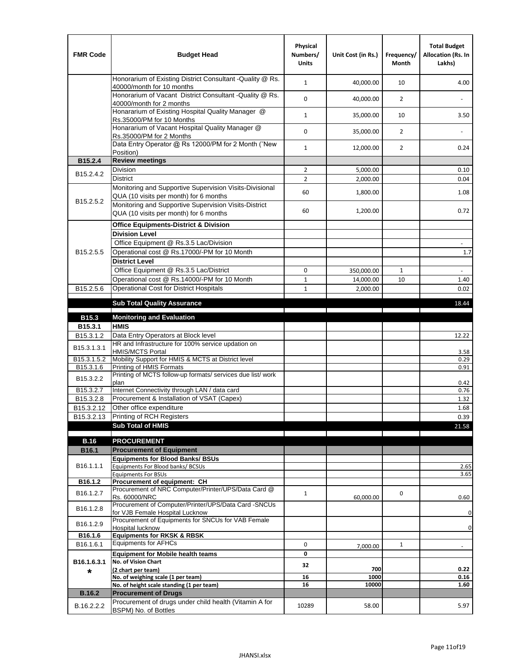| <b>FMR Code</b>         | <b>Budget Head</b>                                                                                | Physical<br>Numbers/<br><b>Units</b> | Unit Cost (in Rs.) | Frequency/<br>Month | <b>Total Budget</b><br>Allocation (Rs. In<br>Lakhs) |
|-------------------------|---------------------------------------------------------------------------------------------------|--------------------------------------|--------------------|---------------------|-----------------------------------------------------|
|                         | Honorarium of Existing District Consultant -Quality @ Rs.<br>40000/month for 10 months            | $\mathbf{1}$                         | 40,000.00          | 10                  | 4.00                                                |
|                         | Honorarium of Vacant District Consultant -Quality @ Rs.<br>40000/month for 2 months               | 0                                    | 40,000.00          | $\overline{2}$      |                                                     |
|                         | Honararium of Existing Hospital Quality Manager @<br>Rs.35000/PM for 10 Months                    | $\mathbf{1}$                         | 35,000.00          | 10                  | 3.50                                                |
|                         | Honararium of Vacant Hospital Quality Manager @<br>Rs.35000/PM for 2 Months                       | 0                                    | 35,000.00          | $\overline{2}$      |                                                     |
|                         | Data Entry Operator @ Rs 12000/PM for 2 Month ("New<br>Position)                                  | $\mathbf{1}$                         | 12,000.00          | $\overline{2}$      | 0.24                                                |
| B15.2.4                 | <b>Review meetings</b>                                                                            |                                      |                    |                     |                                                     |
| B <sub>15.2</sub> .4.2  | Division                                                                                          | $\overline{2}$                       | 5,000.00           |                     | 0.10                                                |
|                         | <b>District</b>                                                                                   | $\overline{2}$                       | 2,000.00           |                     | 0.04                                                |
|                         | Monitoring and Supportive Supervision Visits-Divisional<br>QUA (10 visits per month) for 6 months | 60                                   | 1,800.00           |                     | 1.08                                                |
| B15.2.5.2               | Monitoring and Supportive Supervision Visits-District<br>QUA (10 visits per month) for 6 months   | 60                                   | 1,200.00           |                     | 0.72                                                |
|                         | <b>Office Equipments-District &amp; Division</b>                                                  |                                      |                    |                     |                                                     |
|                         | <b>Division Level</b>                                                                             |                                      |                    |                     |                                                     |
|                         | Office Equipment @ Rs.3.5 Lac/Division                                                            |                                      |                    |                     | $\sim$                                              |
| B15.2.5.5               | Operational cost @ Rs.17000/-PM for 10 Month                                                      |                                      |                    |                     | $1.7\,$                                             |
|                         | <b>District Level</b>                                                                             |                                      |                    |                     |                                                     |
|                         | Office Equipment @ Rs.3.5 Lac/District                                                            | 0                                    | 350,000.00         | 1                   | $\sim$                                              |
|                         | Operational cost @ Rs.14000/-PM for 10 Month                                                      | $\mathbf{1}$                         | 14,000.00          | 10                  | 1.40                                                |
| B15.2.5.6               | <b>Operational Cost for District Hospitals</b>                                                    | $\mathbf{1}$                         | 2,000.00           |                     | 0.02                                                |
|                         | <b>Sub Total Quality Assurance</b>                                                                |                                      |                    |                     | 18.44                                               |
|                         |                                                                                                   |                                      |                    |                     |                                                     |
| B15.3                   | <b>Monitoring and Evaluation</b><br><b>HMIS</b>                                                   |                                      |                    |                     |                                                     |
| B15.3.1<br>B15.3.1.2    | Data Entry Operators at Block level                                                               |                                      |                    |                     | 12.22                                               |
| B15.3.1.3.1             | HR and Infrastructure for 100% service updation on<br><b>HMIS/MCTS Portal</b>                     |                                      |                    |                     | 3.58                                                |
| B <sub>15.3.1.5.2</sub> | Mobility Support for HMIS & MCTS at District level                                                |                                      |                    |                     | 0.29                                                |
| B15.3.1.6               | Printing of HMIS Formats                                                                          |                                      |                    |                     | 0.91                                                |
| B15.3.2.2               | Printing of MCTS follow-up formats/ services due list/ work<br>plan                               |                                      |                    |                     |                                                     |
| B15.3.2.7               | Internet Connectivity through LAN / data card                                                     |                                      |                    |                     | 0.42<br>0.76                                        |
| B15.3.2.8               | Procurement & Installation of VSAT (Capex)                                                        |                                      |                    |                     | 1.32                                                |
| B15.3.2.12              | Other office expenditure                                                                          |                                      |                    |                     | 1.68                                                |
| B15.3.2.13              | Printing of RCH Registers                                                                         |                                      |                    |                     | 0.39                                                |
|                         | <b>Sub Total of HMIS</b>                                                                          |                                      |                    |                     | 21.58                                               |
|                         |                                                                                                   |                                      |                    |                     |                                                     |
| <b>B.16</b>             | <b>PROCUREMENT</b><br><b>Procurement of Equipment</b>                                             |                                      |                    |                     |                                                     |
| B16.1                   | <b>Equipments for Blood Banks/ BSUs</b>                                                           |                                      |                    |                     |                                                     |
| B16.1.1.1               | Equipments For Blood banks/ BCSUs                                                                 |                                      |                    |                     | 2.65                                                |
|                         | <b>Equipments For BSUs</b>                                                                        |                                      |                    |                     | 3.65                                                |
| B16.1.2                 | Procurement of equipment: CH                                                                      |                                      |                    |                     |                                                     |
| B16.1.2.7               | Procurement of NRC Computer/Printer/UPS/Data Card @<br>Rs. 60000/NRC                              | $\mathbf{1}$                         | 60,000.00          | 0                   | 0.60                                                |
|                         | Procurement of Computer/Printer/UPS/Data Card -SNCUs                                              |                                      |                    |                     |                                                     |
| B16.1.2.8               | for VJB Female Hospital Lucknow                                                                   |                                      |                    |                     | $\pmb{0}$                                           |
| B16.1.2.9               | Procurement of Equipments for SNCUs for VAB Female                                                |                                      |                    |                     | $\pmb{0}$                                           |
| B16.1.6                 | Hospital lucknow<br><b>Equipments for RKSK &amp; RBSK</b>                                         |                                      |                    |                     |                                                     |
| B16.1.6.1               | <b>Equipments for AFHCs</b>                                                                       | 0                                    | 7,000.00           | $\mathbf{1}$        |                                                     |
|                         | <b>Equipment for Mobile health teams</b>                                                          | 0                                    |                    |                     |                                                     |
| B16.1.6.3.1             | No. of Vision Chart                                                                               | 32                                   |                    |                     |                                                     |
| *                       | (2 chart per team)                                                                                |                                      | 700                |                     | 0.22                                                |
|                         | No. of weighing scale (1 per team)                                                                | 16                                   | 1000               |                     | 0.16                                                |
| <b>B.16.2</b>           | No. of height scale standing (1 per team)<br><b>Procurement of Drugs</b>                          | 16                                   | 10000              |                     | 1.60                                                |
|                         | Procurement of drugs under child health (Vitamin A for                                            |                                      |                    |                     |                                                     |
| B.16.2.2.2              | BSPM) No. of Bottles                                                                              | 10289                                | 58.00              |                     | 5.97                                                |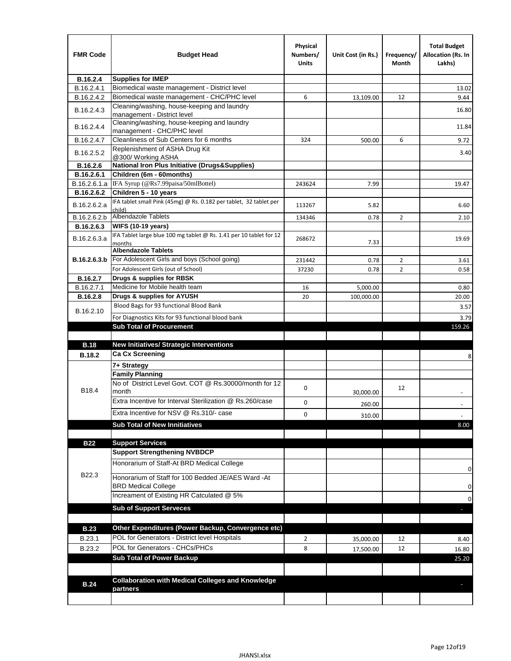| <b>FMR Code</b> | <b>Budget Head</b>                                                            | Physical<br>Numbers/<br>Units | Unit Cost (in Rs.) | Frequency/<br>Month | <b>Total Budget</b><br><b>Allocation (Rs. In</b><br>Lakhs) |
|-----------------|-------------------------------------------------------------------------------|-------------------------------|--------------------|---------------------|------------------------------------------------------------|
| B.16.2.4        | <b>Supplies for IMEP</b>                                                      |                               |                    |                     |                                                            |
| B.16.2.4.1      | Biomedical waste management - District level                                  |                               |                    |                     | 13.02                                                      |
| B.16.2.4.2      | Biomedical waste management - CHC/PHC level                                   | 6                             | 13,109.00          | 12                  | 9.44                                                       |
| B.16.2.4.3      | Cleaning/washing, house-keeping and laundry<br>management - District level    |                               |                    |                     | 16.80                                                      |
| B.16.2.4.4      | Cleaning/washing, house-keeping and laundry<br>management - CHC/PHC level     |                               |                    |                     | 11.84                                                      |
| B.16.2.4.7      | Cleanliness of Sub Centers for 6 months                                       | 324                           | 500.00             | 6                   | 9.72                                                       |
| B.16.2.5.2      | Replenishment of ASHA Drug Kit<br>@300/ Working ASHA                          |                               |                    |                     | 3.40                                                       |
| B.16.2.6        | <b>National Iron Plus Initiative (Drugs&amp;Supplies)</b>                     |                               |                    |                     |                                                            |
| B.16.2.6.1      | Children (6m - 60months)                                                      |                               |                    |                     |                                                            |
| B.16.2.6.1.a    | IFA Syrup (@Rs7.99paisa/50mlBottel)                                           | 243624                        | 7.99               |                     | 19.47                                                      |
| B.16.2.6.2      | Children 5 - 10 years                                                         |                               |                    |                     |                                                            |
| B.16.2.6.2.a    | IFA tablet small Pink (45mg) @ Rs. 0.182 per tablet, 32 tablet per<br>child)  | 113267                        | 5.82               |                     | 6.60                                                       |
| B.16.2.6.2.b    | <b>Albendazole Tablets</b>                                                    | 134346                        | 0.78               | 2                   | 2.10                                                       |
| B.16.2.6.3      | <b>WIFS (10-19 years)</b>                                                     |                               |                    |                     |                                                            |
| B.16.2.6.3.a    | IFA Tablet large blue 100 mg tablet @ Rs. 1.41 per 10 tablet for 12<br>months | 268672                        | 7.33               |                     | 19.69                                                      |
|                 | <b>Albendazole Tablets</b>                                                    |                               |                    |                     |                                                            |
| B.16.2.6.3.b    | For Adolescent Girls and boys (School going)                                  | 231442                        | 0.78               | $\overline{2}$      | 3.61                                                       |
|                 | For Adolescent Girls (out of School)                                          | 37230                         | 0.78               | $\overline{2}$      | 0.58                                                       |
| B.16.2.7        | Drugs & supplies for RBSK                                                     |                               |                    |                     |                                                            |
| B.16.2.7.1      | Medicine for Mobile health team                                               | 16                            | 5,000.00           |                     | 0.80                                                       |
| <b>B.16.2.8</b> | Drugs & supplies for AYUSH                                                    | 20                            | 100,000.00         |                     | 20.00                                                      |
| B.16.2.10       | Blood Bags for 93 functional Blood Bank                                       |                               |                    |                     | 3.57                                                       |
|                 | For Diagnostics Kits for 93 functional blood bank                             |                               |                    |                     | 3.79                                                       |
|                 | <b>Sub Total of Procurement</b>                                               |                               |                    |                     | 159.26                                                     |
| <b>B.18</b>     | <b>New Initiatives/ Strategic Interventions</b>                               |                               |                    |                     |                                                            |
|                 | <b>Ca Cx Screening</b>                                                        |                               |                    |                     |                                                            |
| <b>B.18.2</b>   |                                                                               |                               |                    |                     | 8                                                          |
|                 | 7+ Strategy<br><b>Family Planning</b>                                         |                               |                    |                     |                                                            |
| B18.4           | No of District Level Govt. COT @ Rs.30000/month for 12<br>month               | 0                             |                    | 12                  |                                                            |
|                 | Extra Incentive for Interval Sterilization @ Rs.260/case                      |                               | 30,000.00          |                     |                                                            |
|                 |                                                                               | 0                             | 260.00             |                     |                                                            |
|                 | Extra Incentive for NSV @ Rs.310/- case                                       | 0                             | 310.00             |                     |                                                            |
|                 | <b>Sub Total of New Innitiatives</b>                                          |                               |                    |                     | 8.00                                                       |
|                 |                                                                               |                               |                    |                     |                                                            |
| <b>B22</b>      | <b>Support Services</b><br><b>Support Strengthening NVBDCP</b>                |                               |                    |                     |                                                            |
|                 | Honorarium of Staff-At BRD Medical College                                    |                               |                    |                     |                                                            |
| B22.3           | Honorarium of Staff for 100 Bedded JE/AES Ward -At                            |                               |                    |                     | 0                                                          |
|                 | <b>BRD Medical College</b><br>Increament of Existing HR Catculated @ 5%       |                               |                    |                     | 0                                                          |
|                 | <b>Sub of Support Serveces</b>                                                |                               |                    |                     | 0                                                          |
|                 |                                                                               |                               |                    |                     |                                                            |
|                 |                                                                               |                               |                    |                     |                                                            |
| <b>B.23</b>     | Other Expenditures (Power Backup, Convergence etc)                            |                               |                    |                     |                                                            |
| B.23.1          | POL for Generators - District level Hospitals                                 | $\overline{2}$                | 35,000.00          | 12                  | 8.40                                                       |
| B.23.2          | POL for Generators - CHCs/PHCs                                                | 8                             | 17,500.00          | 12                  | 16.80                                                      |
|                 | <b>Sub Total of Power Backup</b>                                              |                               |                    |                     | 25.20                                                      |
|                 |                                                                               |                               |                    |                     |                                                            |
| <b>B.24</b>     | <b>Collaboration with Medical Colleges and Knowledge</b><br>partners          |                               |                    |                     |                                                            |
|                 |                                                                               |                               |                    |                     |                                                            |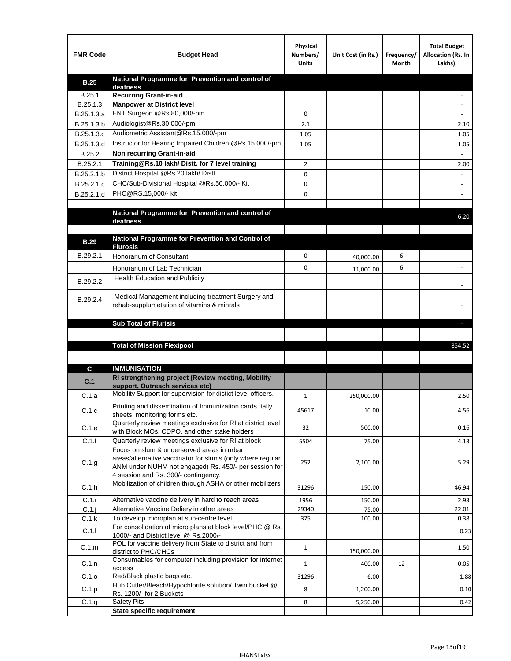| <b>FMR Code</b> | <b>Budget Head</b>                                                                                | Physical<br>Numbers/<br><b>Units</b> | Unit Cost (in Rs.) | Frequency/<br>Month | <b>Total Budget</b><br>Allocation (Rs. In<br>Lakhs) |
|-----------------|---------------------------------------------------------------------------------------------------|--------------------------------------|--------------------|---------------------|-----------------------------------------------------|
| <b>B.25</b>     | National Programme for Prevention and control of                                                  |                                      |                    |                     |                                                     |
| B.25.1          | deafness<br><b>Recurring Grant-in-aid</b>                                                         |                                      |                    |                     |                                                     |
| B.25.1.3        | <b>Manpower at District level</b>                                                                 |                                      |                    |                     |                                                     |
| B.25.1.3.a      | ENT Surgeon @Rs.80,000/-pm                                                                        | 0                                    |                    |                     |                                                     |
| B.25.1.3.b      | Audiologist@Rs.30,000/-pm                                                                         | 2.1                                  |                    |                     | 2.10                                                |
| B.25.1.3.c      | Audiometric Assistant@Rs.15,000/-pm                                                               | 1.05                                 |                    |                     | 1.05                                                |
| B.25.1.3.d      | Instructor for Hearing Impaired Children @Rs.15,000/-pm                                           | 1.05                                 |                    |                     | 1.05                                                |
| B.25.2          | Non recurring Grant-in-aid                                                                        |                                      |                    |                     |                                                     |
| B.25.2.1        | Training@Rs.10 lakh/ Distt. for 7 level training                                                  | $\overline{2}$                       |                    |                     | 2.00                                                |
| B.25.2.1.b      | District Hospital @Rs.20 lakh/Distt.                                                              | 0                                    |                    |                     |                                                     |
| B.25.2.1.c      | CHC/Sub-Divisional Hospital @Rs.50,000/- Kit                                                      | 0                                    |                    |                     |                                                     |
| B.25.2.1.d      | PHC@RS.15,000/- kit                                                                               | 0                                    |                    |                     |                                                     |
|                 | National Programme for Prevention and control of                                                  |                                      |                    |                     |                                                     |
|                 | deafness                                                                                          |                                      |                    |                     | 6.20                                                |
|                 |                                                                                                   |                                      |                    |                     |                                                     |
| <b>B.29</b>     | National Programme for Prevention and Control of<br><b>Flurosis</b>                               |                                      |                    |                     |                                                     |
| B.29.2.1        | <b>Honorarium of Consultant</b>                                                                   | 0                                    | 40,000.00          | 6                   |                                                     |
|                 |                                                                                                   | 0                                    |                    | 6                   | $\blacksquare$                                      |
|                 | Honorarium of Lab Technician<br><b>Health Education and Publicity</b>                             |                                      | 11,000.00          |                     |                                                     |
| B.29.2.2        |                                                                                                   |                                      |                    |                     |                                                     |
| B.29.2.4        | Medical Management including treatment Surgery and                                                |                                      |                    |                     |                                                     |
|                 | rehab-supplumetation of vitamins & minrals                                                        |                                      |                    |                     |                                                     |
|                 |                                                                                                   |                                      |                    |                     |                                                     |
|                 | <b>Sub Total of Flurisis</b>                                                                      |                                      |                    |                     | н                                                   |
|                 |                                                                                                   |                                      |                    |                     |                                                     |
|                 | <b>Total of Mission Flexipool</b>                                                                 |                                      |                    |                     | 854.52                                              |
|                 |                                                                                                   |                                      |                    |                     |                                                     |
| C               | <b>IMMUNISATION</b>                                                                               |                                      |                    |                     |                                                     |
| C.1             | RI strengthening project (Review meeting, Mobility<br>support, Outreach services etc)             |                                      |                    |                     |                                                     |
| C.1.a           | Mobility Support for supervision for distict level officers.                                      | 1                                    | 250,000.00         |                     | 2.50                                                |
|                 | Printing and dissemination of Immunization cards, tally                                           |                                      |                    |                     |                                                     |
| C.1.c           | sheets, monitoring forms etc.                                                                     | 45617                                | 10.00              |                     | 4.56                                                |
| C.1.e           | Quarterly review meetings exclusive for RI at district level                                      | 32                                   | 500.00             |                     | 0.16                                                |
|                 | with Block MOs, CDPO, and other stake holders                                                     |                                      |                    |                     |                                                     |
| C.1.f           | Quarterly review meetings exclusive for RI at block<br>Focus on slum & underserved areas in urban | 5504                                 | 75.00              |                     | 4.13                                                |
|                 | areas/alternative vaccinator for slums (only where regular                                        |                                      |                    |                     |                                                     |
| C.1.g           | ANM under NUHM not engaged) Rs. 450/- per session for                                             | 252                                  | 2,100.00           |                     | 5.29                                                |
|                 | 4 session and Rs. 300/- contingency.                                                              |                                      |                    |                     |                                                     |
| C.1.h           | Mobilization of children through ASHA or other mobilizers                                         | 31296                                | 150.00             |                     | 46.94                                               |
| C.1.i           | Alternative vaccine delivery in hard to reach areas                                               | 1956                                 | 150.00             |                     | 2.93                                                |
| $C.1$ .j        | Alternative Vaccine Deliery in other areas                                                        | 29340                                | 75.00              |                     | 22.01                                               |
| C.1.k           | To develop microplan at sub-centre level                                                          | 375                                  | 100.00             |                     | 0.38                                                |
| C.1.1           | For consolidation of micro plans at block level/PHC @ Rs.                                         |                                      |                    |                     | 0.23                                                |
|                 | 1000/- and District level @ Rs.2000/-<br>POL for vaccine delivery from State to district and from |                                      |                    |                     |                                                     |
| C.1.m           | district to PHC/CHCs                                                                              | $\mathbf{1}$                         | 150,000.00         |                     | 1.50                                                |
| C.1.n           | Consumables for computer including provision for internet                                         | $\mathbf{1}$                         | 400.00             | 12                  | 0.05                                                |
| C.1.o           | access<br>Red/Black plastic bags etc.                                                             | 31296                                | 6.00               |                     | 1.88                                                |
| C.1.p           | Hub Cutter/Bleach/Hypochlorite solution/ Twin bucket @                                            | 8                                    | 1,200.00           |                     | 0.10                                                |
|                 | Rs. 1200/- for 2 Buckets                                                                          |                                      |                    |                     |                                                     |
| C.1.q           | <b>Safety Pits</b><br><b>State specific requirement</b>                                           | 8                                    | 5,250.00           |                     | 0.42                                                |
|                 |                                                                                                   |                                      |                    |                     |                                                     |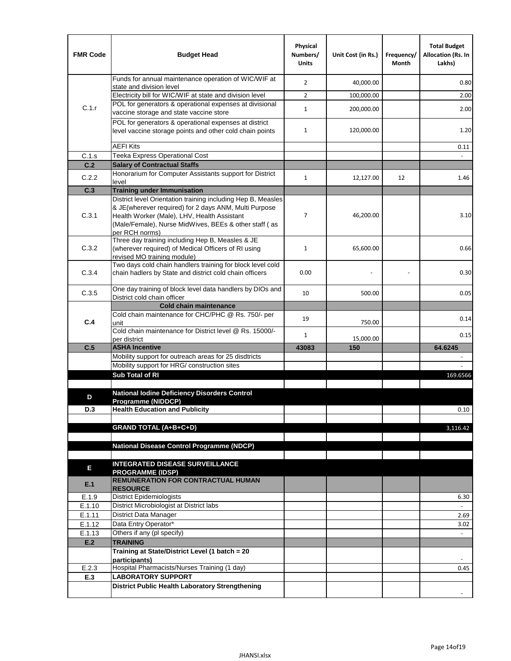| <b>FMR Code</b> | <b>Budget Head</b>                                                                                                                                                              | Physical<br>Numbers/<br><b>Units</b> | Unit Cost (in Rs.) | Frequency/<br>Month | <b>Total Budget</b><br><b>Allocation (Rs. In</b><br>Lakhs) |
|-----------------|---------------------------------------------------------------------------------------------------------------------------------------------------------------------------------|--------------------------------------|--------------------|---------------------|------------------------------------------------------------|
|                 | Funds for annual maintenance operation of WIC/WIF at<br>state and division level                                                                                                | $\overline{2}$                       | 40,000.00          |                     | 0.80                                                       |
|                 | Electricity bill for WIC/WIF at state and division level                                                                                                                        | $\overline{2}$                       | 100,000.00         |                     | 2.00                                                       |
| C.1.r           | POL for generators & operational expenses at divisional                                                                                                                         | $\mathbf{1}$                         |                    |                     | 2.00                                                       |
|                 | vaccine storage and state vaccine store                                                                                                                                         |                                      | 200,000.00         |                     |                                                            |
|                 | POL for generators & operational expenses at district<br>level vaccine storage points and other cold chain points                                                               | $\mathbf{1}$                         | 120,000.00         |                     | 1.20                                                       |
|                 | <b>AEFI Kits</b>                                                                                                                                                                |                                      |                    |                     | 0.11                                                       |
| C.1.s           | Teeka Express Operational Cost                                                                                                                                                  |                                      |                    |                     |                                                            |
| C.2             | <b>Salary of Contractual Staffs</b>                                                                                                                                             |                                      |                    |                     |                                                            |
| C.2.2           | Honorarium for Computer Assistants support for District<br>level                                                                                                                | $\mathbf{1}$                         | 12,127.00          | 12                  | 1.46                                                       |
| C.3             | <b>Training under Immunisation</b>                                                                                                                                              |                                      |                    |                     |                                                            |
|                 | District level Orientation training including Hep B, Measles                                                                                                                    |                                      |                    |                     |                                                            |
| C.3.1           | & JE(wherever required) for 2 days ANM, Multi Purpose<br>Health Worker (Male), LHV, Health Assistant<br>(Male/Female), Nurse MidWives, BEEs & other staff (as<br>per RCH norms) | 7                                    | 46,200.00          |                     | 3.10                                                       |
| C.3.2           | Three day training including Hep B, Measles & JE<br>(wherever required) of Medical Officers of RI using<br>revised MO training module)                                          | $\mathbf{1}$                         | 65,600.00          |                     | 0.66                                                       |
| C.3.4           | Two days cold chain handlers training for block level cold<br>chain hadlers by State and district cold chain officers                                                           | 0.00                                 |                    |                     | 0.30                                                       |
| C.3.5           | One day training of block level data handlers by DIOs and<br>District cold chain officer                                                                                        | 10                                   | 500.00             |                     | 0.05                                                       |
|                 | <b>Cold chain maintenance</b>                                                                                                                                                   |                                      |                    |                     |                                                            |
| C.4             | Cold chain maintenance for CHC/PHC @ Rs. 750/- per<br>unit                                                                                                                      | 19                                   | 750.00             |                     | 0.14                                                       |
|                 | Cold chain maintenance for District level @ Rs. 15000/-<br>per district                                                                                                         | $\mathbf{1}$                         | 15,000.00          |                     | 0.15                                                       |
| C.5             | <b>ASHA Incentive</b>                                                                                                                                                           | 43083                                | 150                |                     | 64.6245                                                    |
|                 | Mobility support for outreach areas for 25 disdtricts                                                                                                                           |                                      |                    |                     |                                                            |
|                 | Mobility support for HRG/ construction sites                                                                                                                                    |                                      |                    |                     |                                                            |
|                 | Sub Total of RI                                                                                                                                                                 |                                      |                    |                     | 169.6566                                                   |
| D               | <b>National Iodine Deficiency Disorders Control</b>                                                                                                                             |                                      |                    |                     |                                                            |
|                 | Programme (NIDDCP)                                                                                                                                                              |                                      |                    |                     |                                                            |
| D.3             | <b>Health Education and Publicity</b>                                                                                                                                           |                                      |                    |                     | 0.10                                                       |
|                 | <b>GRAND TOTAL (A+B+C+D)</b>                                                                                                                                                    |                                      |                    |                     | 3.116.42                                                   |
|                 |                                                                                                                                                                                 |                                      |                    |                     |                                                            |
|                 | <b>National Disease Control Programme (NDCP)</b>                                                                                                                                |                                      |                    |                     |                                                            |
|                 |                                                                                                                                                                                 |                                      |                    |                     |                                                            |
| Е               | <b>INTEGRATED DISEASE SURVEILLANCE</b>                                                                                                                                          |                                      |                    |                     |                                                            |
| E.1             | <b>PROGRAMME (IDSP)</b><br><b>REMUNERATION FOR CONTRACTUAL HUMAN</b><br><b>RESOURCE</b>                                                                                         |                                      |                    |                     |                                                            |
| E.1.9           | District Epidemiologists                                                                                                                                                        |                                      |                    |                     | 6.30                                                       |
| E.1.10          | District Microbiologist at District labs                                                                                                                                        |                                      |                    |                     |                                                            |
| E.1.11          | District Data Manager                                                                                                                                                           |                                      |                    |                     | 2.69                                                       |
| E.1.12          | Data Entry Operator*                                                                                                                                                            |                                      |                    |                     | 3.02                                                       |
| E.1.13<br>E.2   | Others if any (pl specify)<br><b>TRAINING</b>                                                                                                                                   |                                      |                    |                     | $\blacksquare$                                             |
|                 | Training at State/District Level (1 batch = 20                                                                                                                                  |                                      |                    |                     |                                                            |
|                 | participants)                                                                                                                                                                   |                                      |                    |                     |                                                            |
| E.2.3           | Hospital Pharmacists/Nurses Training (1 day)                                                                                                                                    |                                      |                    |                     | 0.45                                                       |
| E.3             | <b>LABORATORY SUPPORT</b>                                                                                                                                                       |                                      |                    |                     |                                                            |
|                 | <b>District Public Health Laboratory Strengthening</b>                                                                                                                          |                                      |                    |                     |                                                            |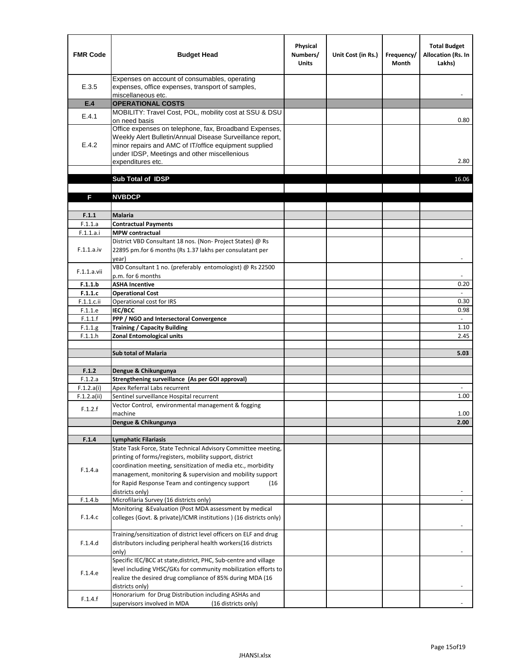| <b>FMR Code</b> | <b>Budget Head</b>                                                                                                                                                                                                                                | Physical<br>Numbers/<br><b>Units</b> | Unit Cost (in Rs.) | Frequency/<br><b>Month</b> | <b>Total Budget</b><br>Allocation (Rs. In<br>Lakhs) |
|-----------------|---------------------------------------------------------------------------------------------------------------------------------------------------------------------------------------------------------------------------------------------------|--------------------------------------|--------------------|----------------------------|-----------------------------------------------------|
| E.3.5           | Expenses on account of consumables, operating<br>expenses, office expenses, transport of samples,<br>miscellaneous etc.                                                                                                                           |                                      |                    |                            |                                                     |
| E.4             | <b>OPERATIONAL COSTS</b>                                                                                                                                                                                                                          |                                      |                    |                            |                                                     |
| E.4.1           | MOBILITY: Travel Cost, POL, mobility cost at SSU & DSU<br>on need basis                                                                                                                                                                           |                                      |                    |                            | 0.80                                                |
| E.4.2           | Office expenses on telephone, fax, Broadband Expenses,<br>Weekly Alert Bulletin/Annual Disease Surveillance report,<br>minor repairs and AMC of IT/office equipment supplied<br>under IDSP, Meetings and other miscellenious<br>expenditures etc. |                                      |                    |                            | 2.80                                                |
|                 | Sub Total of IDSP                                                                                                                                                                                                                                 |                                      |                    |                            | 16.06                                               |
|                 |                                                                                                                                                                                                                                                   |                                      |                    |                            |                                                     |
| F               | <b>NVBDCP</b>                                                                                                                                                                                                                                     |                                      |                    |                            |                                                     |
| F.1.1           | Malaria                                                                                                                                                                                                                                           |                                      |                    |                            |                                                     |
| F.1.1.a         | <b>Contractual Payments</b>                                                                                                                                                                                                                       |                                      |                    |                            |                                                     |
| F.1.1.a.i       | <b>MPW</b> contractual                                                                                                                                                                                                                            |                                      |                    |                            |                                                     |
| F.1.1.a.iv      | District VBD Consultant 18 nos. (Non-Project States) @ Rs<br>22895 pm.for 6 months (Rs 1.37 lakhs per consulatant per<br>year)                                                                                                                    |                                      |                    |                            | $\blacksquare$                                      |
| F.1.1.a.vii     | VBD Consultant 1 no. (preferably entomologist) @ Rs 22500<br>p.m. for 6 months                                                                                                                                                                    |                                      |                    |                            |                                                     |
| F.1.1.b         | <b>ASHA Incentive</b>                                                                                                                                                                                                                             |                                      |                    |                            | 0.20                                                |
| F.1.1.c         | <b>Operational Cost</b>                                                                                                                                                                                                                           |                                      |                    |                            | $\overline{\phantom{a}}$                            |
| F.1.1.c.ii      | Operational cost for IRS                                                                                                                                                                                                                          |                                      |                    |                            | 0.30                                                |
| F.1.1.e         | IEC/BCC                                                                                                                                                                                                                                           |                                      |                    |                            | 0.98                                                |
| F.1.1.f         | PPP / NGO and Intersectoral Convergence                                                                                                                                                                                                           |                                      |                    |                            | $\sim$                                              |
| F.1.1.g         | <b>Training / Capacity Building</b>                                                                                                                                                                                                               |                                      |                    |                            | 1.10                                                |
| F.1.1.h         | <b>Zonal Entomological units</b>                                                                                                                                                                                                                  |                                      |                    |                            | 2.45                                                |
|                 | <b>Sub total of Malaria</b>                                                                                                                                                                                                                       |                                      |                    |                            | 5.03                                                |
| F.1.2           | Dengue & Chikungunya                                                                                                                                                                                                                              |                                      |                    |                            |                                                     |
| F.1.2.a         | Strengthening surveillance (As per GOI approval)                                                                                                                                                                                                  |                                      |                    |                            |                                                     |
| F.1.2.a(i)      | Apex Referral Labs recurrent                                                                                                                                                                                                                      |                                      |                    |                            |                                                     |
| F.1.2.a(ii)     | Sentinel surveillance Hospital recurrent                                                                                                                                                                                                          |                                      |                    |                            | 1.00                                                |
| F.1.2.f         | Vector Control, environmental management & fogging<br>machine                                                                                                                                                                                     |                                      |                    |                            | 1.00                                                |
|                 | Dengue & Chikungunya                                                                                                                                                                                                                              |                                      |                    |                            | 2.00                                                |
|                 |                                                                                                                                                                                                                                                   |                                      |                    |                            |                                                     |
| F.1.4           | <b>Lymphatic Filariasis</b>                                                                                                                                                                                                                       |                                      |                    |                            |                                                     |
|                 | State Task Force, State Technical Advisory Committee meeting,<br>printing of forms/registers, mobility support, district                                                                                                                          |                                      |                    |                            |                                                     |
|                 | coordination meeting, sensitization of media etc., morbidity                                                                                                                                                                                      |                                      |                    |                            |                                                     |
| F.1.4.a         | management, monitoring & supervision and mobility support                                                                                                                                                                                         |                                      |                    |                            |                                                     |
|                 | for Rapid Response Team and contingency support<br>(16)                                                                                                                                                                                           |                                      |                    |                            |                                                     |
|                 | districts only)                                                                                                                                                                                                                                   |                                      |                    |                            |                                                     |
| F.1.4.b         | Microfilaria Survey (16 districts only)                                                                                                                                                                                                           |                                      |                    |                            |                                                     |
| F.1.4.c         | Monitoring & Evaluation (Post MDA assessment by medical<br>colleges (Govt. & private)/ICMR institutions ) (16 districts only)                                                                                                                     |                                      |                    |                            |                                                     |
|                 |                                                                                                                                                                                                                                                   |                                      |                    |                            |                                                     |
| F.1.4.d         | Training/sensitization of district level officers on ELF and drug<br>distributors including peripheral health workers(16 districts                                                                                                                |                                      |                    |                            |                                                     |
|                 | only)                                                                                                                                                                                                                                             |                                      |                    |                            |                                                     |
|                 | Specific IEC/BCC at state, district, PHC, Sub-centre and village                                                                                                                                                                                  |                                      |                    |                            |                                                     |
| F.1.4.e         | level including VHSC/GKs for community mobilization efforts to<br>realize the desired drug compliance of 85% during MDA (16                                                                                                                       |                                      |                    |                            |                                                     |
|                 | districts only)<br>Honorarium for Drug Distribution including ASHAs and                                                                                                                                                                           |                                      |                    |                            |                                                     |
| F.1.4.f         | supervisors involved in MDA<br>(16 districts only)                                                                                                                                                                                                |                                      |                    |                            |                                                     |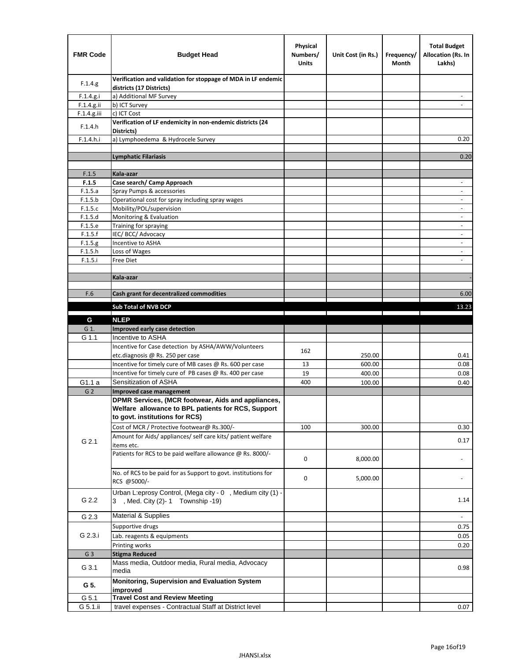| <b>FMR Code</b> | <b>Budget Head</b>                                                                                                                         | Physical<br>Numbers/<br><b>Units</b> | Unit Cost (in Rs.) | Frequency/<br>Month | <b>Total Budget</b><br><b>Allocation (Rs. In</b><br>Lakhs) |
|-----------------|--------------------------------------------------------------------------------------------------------------------------------------------|--------------------------------------|--------------------|---------------------|------------------------------------------------------------|
| F.1.4.g.        | Verification and validation for stoppage of MDA in LF endemic<br>districts (17 Districts)                                                  |                                      |                    |                     |                                                            |
| F.1.4.g.i       | a) Additional MF Survey                                                                                                                    |                                      |                    |                     |                                                            |
| F.1.4.g.ii      | b) ICT Survey                                                                                                                              |                                      |                    |                     |                                                            |
| $F.1.4.g.$ iii  | c) ICT Cost                                                                                                                                |                                      |                    |                     |                                                            |
| F.1.4.h         | Verification of LF endemicity in non-endemic districts (24<br>Districts)                                                                   |                                      |                    |                     |                                                            |
| F.1.4.h.i       | a) Lymphoedema & Hydrocele Survey                                                                                                          |                                      |                    |                     | 0.20                                                       |
|                 | Lymphatic Filariasis                                                                                                                       |                                      |                    |                     | 0.20                                                       |
|                 |                                                                                                                                            |                                      |                    |                     |                                                            |
| F.1.5           | Kala-azar                                                                                                                                  |                                      |                    |                     |                                                            |
| F.1.5           | Case search/ Camp Approach                                                                                                                 |                                      |                    |                     | $\overline{\phantom{a}}$                                   |
| F.1.5.a         | Spray Pumps & accessories                                                                                                                  |                                      |                    |                     | $\blacksquare$                                             |
| F.1.5.b         | Operational cost for spray including spray wages                                                                                           |                                      |                    |                     |                                                            |
| F.1.5.c         | Mobility/POL/supervision                                                                                                                   |                                      |                    |                     | $\overline{\phantom{a}}$                                   |
| F.1.5.d         | Monitoring & Evaluation                                                                                                                    |                                      |                    |                     |                                                            |
| F.1.5.e         | Training for spraying                                                                                                                      |                                      |                    |                     | $\blacksquare$                                             |
| F.1.5.f         | IEC/BCC/Advocacy                                                                                                                           |                                      |                    |                     | $\overline{a}$                                             |
| F.1.5.g         | Incentive to ASHA                                                                                                                          |                                      |                    |                     | $\overline{\phantom{a}}$                                   |
| F.1.5.h         | Loss of Wages                                                                                                                              |                                      |                    |                     | $\qquad \qquad \blacksquare$                               |
| F.1.5.i         | Free Diet                                                                                                                                  |                                      |                    |                     |                                                            |
|                 |                                                                                                                                            |                                      |                    |                     |                                                            |
|                 | Kala-azar                                                                                                                                  |                                      |                    |                     |                                                            |
| F.6             | Cash grant for decentralized commodities                                                                                                   |                                      |                    |                     | 6.00                                                       |
|                 |                                                                                                                                            |                                      |                    |                     |                                                            |
|                 | <b>Sub Total of NVB DCP</b>                                                                                                                |                                      |                    |                     | 13.23                                                      |
| G               | <b>NLEP</b>                                                                                                                                |                                      |                    |                     |                                                            |
| G 1.            | Improved early case detection                                                                                                              |                                      |                    |                     |                                                            |
| G 1.1           | Incentive to ASHA                                                                                                                          |                                      |                    |                     |                                                            |
|                 | Incentive for Case detection by ASHA/AWW/Volunteers                                                                                        | 162                                  |                    |                     |                                                            |
|                 | etc.diagnosis @ Rs. 250 per case                                                                                                           |                                      | 250.00             |                     | 0.41                                                       |
|                 | Incentive for timely cure of MB cases @ Rs. 600 per case                                                                                   | 13                                   | 600.00             |                     | 0.08                                                       |
|                 | Incentive for timely cure of PB cases @ Rs. 400 per case                                                                                   | 19                                   | 400.00             |                     | 0.08                                                       |
| G1.1 a          | Sensitization of ASHA                                                                                                                      | 400                                  | 100.00             |                     | 0.40                                                       |
| G <sub>2</sub>  | <b>Improved case management</b>                                                                                                            |                                      |                    |                     |                                                            |
|                 | DPMR Services, (MCR footwear, Aids and appliances,<br>Welfare allowance to BPL patients for RCS, Support<br>to govt. institutions for RCS) |                                      |                    |                     |                                                            |
|                 | Cost of MCR / Protective footwear@ Rs.300/-                                                                                                | 100                                  | 300.00             |                     | 0.30                                                       |
| G 2.1           | Amount for Aids/ appliances/ self care kits/ patient welfare<br>items etc.                                                                 |                                      |                    |                     | 0.17                                                       |
|                 | Patients for RCS to be paid welfare allowance @ Rs. 8000/-                                                                                 | 0                                    | 8,000.00           |                     |                                                            |
|                 | No. of RCS to be paid for as Support to govt. institutions for<br>RCS @5000/-                                                              | 0                                    | 5,000.00           |                     |                                                            |
| G 2.2           | Urban L:eprosy Control, (Mega city - 0, Medium city (1) -<br>3 , Med. City (2)-1 Township -19)                                             |                                      |                    |                     | 1.14                                                       |
| G 2.3           | Material & Supplies                                                                                                                        |                                      |                    |                     | $\sim$                                                     |
|                 | Supportive drugs                                                                                                                           |                                      |                    |                     | 0.75                                                       |
| G 2.3.i         | Lab. reagents & equipments                                                                                                                 |                                      |                    |                     | 0.05                                                       |
|                 | Printing works                                                                                                                             |                                      |                    |                     | 0.20                                                       |
| G <sub>3</sub>  | <b>Stigma Reduced</b>                                                                                                                      |                                      |                    |                     |                                                            |
|                 | Mass media, Outdoor media, Rural media, Advocacy                                                                                           |                                      |                    |                     |                                                            |
| G 3.1           | media<br>Monitoring, Supervision and Evaluation System                                                                                     |                                      |                    |                     | 0.98                                                       |
| G 5.            | improved                                                                                                                                   |                                      |                    |                     |                                                            |
| G 5.1           | <b>Travel Cost and Review Meeting</b>                                                                                                      |                                      |                    |                     |                                                            |
| G 5.1.ii        | travel expenses - Contractual Staff at District level                                                                                      |                                      |                    |                     | 0.07                                                       |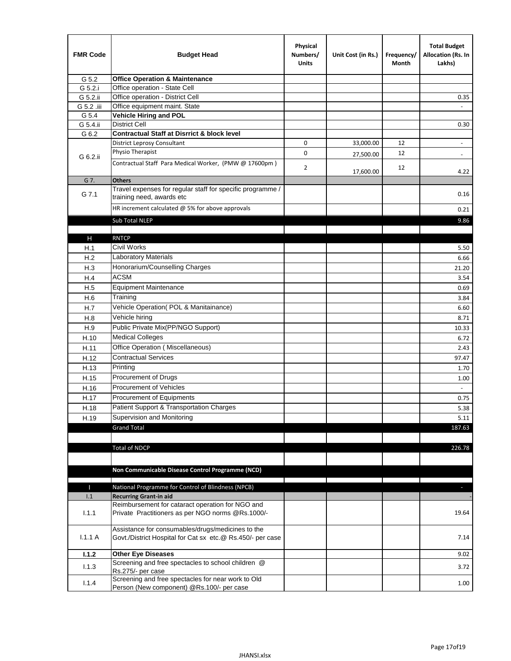| <b>FMR Code</b> | <b>Budget Head</b>                                                                                              | Physical<br>Numbers/<br><b>Units</b> | Unit Cost (in Rs.) | Frequency/<br>Month | <b>Total Budget</b><br>Allocation (Rs. In<br>Lakhs) |
|-----------------|-----------------------------------------------------------------------------------------------------------------|--------------------------------------|--------------------|---------------------|-----------------------------------------------------|
| G 5.2           | <b>Office Operation &amp; Maintenance</b>                                                                       |                                      |                    |                     |                                                     |
| G 5.2.i         | Office operation - State Cell                                                                                   |                                      |                    |                     |                                                     |
| G 5.2.ii        | Office operation - District Cell                                                                                |                                      |                    |                     | 0.35                                                |
| G 5.2 .iii      | Office equipment maint. State                                                                                   |                                      |                    |                     |                                                     |
| G 5.4           | <b>Vehicle Hiring and POL</b>                                                                                   |                                      |                    |                     |                                                     |
| G 5.4.ii        | <b>District Cell</b>                                                                                            |                                      |                    |                     | 0.30                                                |
| G 6.2           | <b>Contractual Staff at Disrrict &amp; block level</b>                                                          |                                      |                    |                     |                                                     |
|                 | <b>District Leprosy Consultant</b>                                                                              | 0                                    | 33,000.00          | 12                  |                                                     |
| G 6.2.ii        | Physio Therapist                                                                                                | 0                                    | 27,500.00          | 12                  | $\overline{\phantom{a}}$                            |
|                 | Contractual Staff Para Medical Worker, (PMW @ 17600pm)                                                          | 2                                    | 17,600.00          | 12                  | 4.22                                                |
| G 7.            | <b>Others</b>                                                                                                   |                                      |                    |                     |                                                     |
| G 7.1           | Travel expenses for regular staff for specific programme /<br>training need, awards etc                         |                                      |                    |                     | 0.16                                                |
|                 | HR increment calculated $@$ 5% for above approvals                                                              |                                      |                    |                     | 0.21                                                |
|                 | Sub Total NLEP                                                                                                  |                                      |                    |                     | 9.86                                                |
|                 |                                                                                                                 |                                      |                    |                     |                                                     |
| н               | <b>RNTCP</b>                                                                                                    |                                      |                    |                     |                                                     |
| H.1             | Civil Works                                                                                                     |                                      |                    |                     | 5.50                                                |
| H.2             | Laboratory Materials                                                                                            |                                      |                    |                     | 6.66                                                |
| H.3             | Honorarium/Counselling Charges                                                                                  |                                      |                    |                     | 21.20                                               |
| H.4             | <b>ACSM</b>                                                                                                     |                                      |                    |                     | 3.54                                                |
| H.5             | <b>Equipment Maintenance</b>                                                                                    |                                      |                    |                     | 0.69                                                |
| H.6             | Training                                                                                                        |                                      |                    |                     | 3.84                                                |
| H.7             | Vehicle Operation(POL & Manitainance)                                                                           |                                      |                    |                     | 6.60                                                |
| H.8             | Vehicle hiring                                                                                                  |                                      |                    |                     | 8.71                                                |
| H.9             | Public Private Mix(PP/NGO Support)                                                                              |                                      |                    |                     | 10.33                                               |
| H.10            | <b>Medical Colleges</b>                                                                                         |                                      |                    |                     | 6.72                                                |
| H.11            | Office Operation (Miscellaneous)                                                                                |                                      |                    |                     | 2.43                                                |
|                 | <b>Contractual Services</b>                                                                                     |                                      |                    |                     |                                                     |
| H.12            | Printing                                                                                                        |                                      |                    |                     | 97.47                                               |
| H.13            | Procurement of Drugs                                                                                            |                                      |                    |                     | 1.70                                                |
| H.15            | Procurement of Vehicles                                                                                         |                                      |                    |                     | 1.00                                                |
| H.16            |                                                                                                                 |                                      |                    |                     | $\omega$                                            |
| H.17            | Procurement of Equipments                                                                                       |                                      |                    |                     | 0.75                                                |
| H.18            | Patient Support & Transportation Charges                                                                        |                                      |                    |                     | 5.38                                                |
| H.19            | Supervision and Monitoring                                                                                      |                                      |                    |                     | 5.11                                                |
|                 | <b>Grand Total</b>                                                                                              |                                      |                    |                     | 187.63                                              |
|                 |                                                                                                                 |                                      |                    |                     |                                                     |
|                 | <b>Total of NDCP</b>                                                                                            |                                      |                    |                     | 226.78                                              |
|                 | Non Communicable Disease Control Programme (NCD)                                                                |                                      |                    |                     |                                                     |
|                 |                                                                                                                 |                                      |                    |                     |                                                     |
| П<br>1.1        | National Programme for Control of Blindness (NPCB)<br><b>Recurring Grant-in aid</b>                             |                                      |                    |                     | $\overline{\phantom{a}}$                            |
|                 | Reimbursement for cataract operation for NGO and                                                                |                                      |                    |                     |                                                     |
| 1.1.1           | Private Practitioners as per NGO norms @Rs.1000/-                                                               |                                      |                    |                     | 19.64                                               |
| 1.1.1A          | Assistance for consumables/drugs/medicines to the<br>Govt./District Hospital for Cat sx etc.@ Rs.450/- per case |                                      |                    |                     | 7.14                                                |
| 1.1.2           | <b>Other Eye Diseases</b>                                                                                       |                                      |                    |                     | 9.02                                                |
|                 | Screening and free spectacles to school children @                                                              |                                      |                    |                     |                                                     |
| 1.1.3           | Rs.275/- per case                                                                                               |                                      |                    |                     | 3.72                                                |
| 1.1.4           | Screening and free spectacles for near work to Old<br>Person (New component) @Rs.100/- per case                 |                                      |                    |                     | 1.00                                                |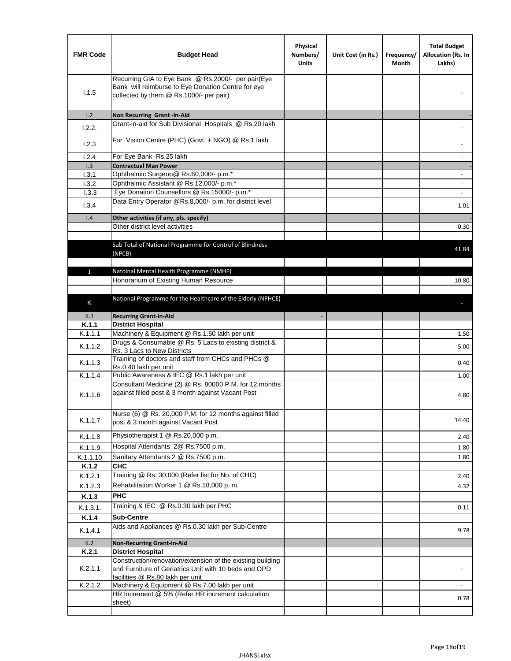| <b>FMR Code</b> | <b>Budget Head</b>                                                                                                                                      | Physical<br>Numbers/<br><b>Units</b> | Unit Cost (in Rs.) | Frequency/<br>Month | <b>Total Budget</b><br>Allocation (Rs. In<br>Lakhs) |
|-----------------|---------------------------------------------------------------------------------------------------------------------------------------------------------|--------------------------------------|--------------------|---------------------|-----------------------------------------------------|
| 1.1.5           | Recurring GIA to Eye Bank @ Rs.2000/- per pair(Eye<br>Bank will reimburse to Eye Donation Centre for eye<br>collected by them @ Rs.1000/- per pair)     |                                      |                    |                     |                                                     |
| 1.2             | Non Recurring Grant -in-Aid                                                                                                                             |                                      |                    |                     |                                                     |
| 1.2.2.          | Grant-in-aid for Sub Divisional Hospitals @ Rs.20 lakh                                                                                                  |                                      |                    |                     |                                                     |
| 1.2.3           | For Vision Centre (PHC) (Govt. + NGO) @ Rs.1 lakh                                                                                                       |                                      |                    |                     |                                                     |
| 1.2.4           | For Eye Bank Rs.25 lakh                                                                                                                                 |                                      |                    |                     |                                                     |
| 1.3             | <b>Contractual Man Power</b>                                                                                                                            |                                      |                    |                     |                                                     |
| 1.3.1           | Ophthalmic Surgeon@ Rs.60,000/- p.m.*                                                                                                                   |                                      |                    |                     |                                                     |
| 1.3.2           | Ophthalmic Assistant @ Rs.12,000/- p.m.*                                                                                                                |                                      |                    |                     |                                                     |
| 1.3.3           | Eye Donation Counsellors @ Rs.15000/- p.m.*                                                                                                             |                                      |                    |                     | $\overline{\phantom{a}}$                            |
| 1.3.4           | Data Entry Operator @Rs.8,000/- p.m. for district level                                                                                                 |                                      |                    |                     | 1.01                                                |
| 1.4             | Other activities (if any, pls. specify)                                                                                                                 |                                      |                    |                     |                                                     |
|                 | Other district level activities                                                                                                                         |                                      |                    |                     | 0.30                                                |
|                 |                                                                                                                                                         |                                      |                    |                     |                                                     |
|                 | Sub Total of National Programme for Control of Blindness                                                                                                |                                      |                    |                     | 41.84                                               |
|                 | (NPCB)                                                                                                                                                  |                                      |                    |                     |                                                     |
|                 |                                                                                                                                                         |                                      |                    |                     |                                                     |
| J               | Natoinal Mental Health Programme (NMHP)<br>Honorarium of Existing Human Resource                                                                        |                                      |                    |                     | 10.80                                               |
|                 |                                                                                                                                                         |                                      |                    |                     |                                                     |
|                 | National Programme for the Healthcare of the Elderly (NPHCE)                                                                                            |                                      |                    |                     |                                                     |
| K               |                                                                                                                                                         |                                      |                    |                     |                                                     |
| K.1             | <b>Recurring Grant-in-Aid</b>                                                                                                                           |                                      |                    |                     |                                                     |
| K.1.1           | <b>District Hospital</b>                                                                                                                                |                                      |                    |                     |                                                     |
| K.1.1.1         | Machinery & Equipment @ Rs.1.50 lakh per unit                                                                                                           |                                      |                    |                     | 1.50                                                |
| K.1.1.2         | Drugs & Consumable @ Rs. 5 Lacs to existing district &                                                                                                  |                                      |                    |                     | 5.00                                                |
|                 | Rs. 3 Lacs to New Districts<br>Training of doctors and staff from CHCs and PHCs @                                                                       |                                      |                    |                     |                                                     |
| K.1.1.3         | Rs.0.40 lakh per unit                                                                                                                                   |                                      |                    |                     | 0.40                                                |
| K.1.1.4         | Public Awareness & IEC @ Rs.1 lakh per unit                                                                                                             |                                      |                    |                     | 1.00                                                |
| K.1.1.6         | Consultant Medicine (2) @ Rs. 80000 P.M. for 12 months<br>against filled post & 3 month against Vacant Post                                             |                                      |                    |                     | 4.80                                                |
| K.1.1.7         | Nurse (6) @ Rs. 20,000 P.M. for 12 months against filled<br>post & 3 month against Vacant Post                                                          |                                      |                    |                     | 14.40                                               |
| K.1.1.8         | Physiotherapist 1 @ Rs.20,000 p.m.                                                                                                                      |                                      |                    |                     | 2.40                                                |
| K.1.1.9         | Hospital Attendants 2@ Rs.7500 p.m.                                                                                                                     |                                      |                    |                     |                                                     |
| K.1.1.10        | Sanitary Attendants 2 @ Rs.7500 p.m.                                                                                                                    |                                      |                    |                     | 1.80<br>1.80                                        |
| K.1.2           | <b>CHC</b>                                                                                                                                              |                                      |                    |                     |                                                     |
| K.1.2.1         | Training @ Rs. 30,000 (Refer list for No. of CHC)                                                                                                       |                                      |                    |                     | 2.40                                                |
| K.1.2.3         | Rehabilitation Worker 1 @ Rs.18,000 p.m.                                                                                                                |                                      |                    |                     | 4.32                                                |
| K.1.3           | <b>PHC</b>                                                                                                                                              |                                      |                    |                     |                                                     |
| K.1.3.1.        | Training & IEC @ Rs.0.30 lakh per PHC                                                                                                                   |                                      |                    |                     |                                                     |
| K.1.4           | <b>Sub-Centre</b>                                                                                                                                       |                                      |                    |                     | 0.11                                                |
|                 | Aids and Appliances @ Rs.0.30 lakh per Sub-Centre                                                                                                       |                                      |                    |                     |                                                     |
| K.1.4.1         |                                                                                                                                                         |                                      |                    |                     | 9.78                                                |
| K.2             | <b>Non-Recurring Grant-in-Aid</b>                                                                                                                       |                                      |                    |                     |                                                     |
| K.2.1           | <b>District Hospital</b>                                                                                                                                |                                      |                    |                     |                                                     |
| K.2.1.1         | Construction/renovation/extension of the existing building<br>and Furniture of Geriatrics Unit with 10 beds and OPD<br>facilities @ Rs.80 lakh per unit |                                      |                    |                     |                                                     |
| K.2.1.2         | Machinery & Equipment @ Rs.7.00 lakh per unit                                                                                                           |                                      |                    |                     |                                                     |
|                 | HR Increment @ 5% (Refer HR increment calculation                                                                                                       |                                      |                    |                     | 0.78                                                |
|                 | sheet)                                                                                                                                                  |                                      |                    |                     |                                                     |